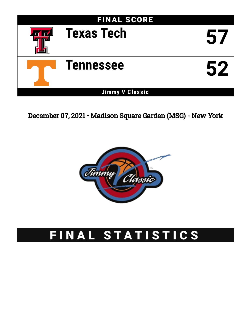

December 07, 2021 • Madison Square Garden (MSG) - New York



# FINAL STATISTICS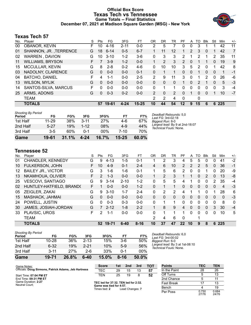# **Official Box Score Texas Tech vs Tennessee Game Totals -- Final Statistics December 07, 2021 at Madison Square Garden (MSG) - New York**



# **Texas Tech 57**

| No. | Plaver                  | S  | Pts      | FG       | 3FG      | FT.       | OR             | DR             | TR             | PF       | A            | TO | <b>BIK</b> | Stl          | Min | $+/-$          |
|-----|-------------------------|----|----------|----------|----------|-----------|----------------|----------------|----------------|----------|--------------|----|------------|--------------|-----|----------------|
| 00  | <b>OBANOR, KEVIN</b>    | F. | 10       | $4 - 16$ | $2 - 11$ | $0-0$     | 2              | 5              |                | 0        | 0            | 3  |            |              | 42  | 11             |
| 01  | SHANNON, JR., TERRENCE  | G  | 18       | $6 - 14$ | $0 - 5$  | $6 - 7$   |                | 11             | 12             | 1        | 2            | 3  | $\Omega$   |              | 42  | $\overline{7}$ |
| 02  | WARREN, DAVION          | G  | 10       | $3 - 10$ | $1 - 2$  | $3-6$     | 0              | 3              | 3              | 2        | 1            | 2  | 1          | 2            | 35  | 11             |
| 11  | <b>WILLIAMS, BRYSON</b> | F. |          | $3-9$    | $1 - 2$  | $0 - 0$   |                | 2              | 3              | 2        | 0            |    |            | $\mathbf{0}$ | 19  | 9              |
| 15  | <b>MCCULLAR, KEVIN</b>  | G  | 8        | $2 - 8$  | $0 - 2$  | $4-6$     | 0              | 10             | 10             | 3        | 5            | 2  | $\Omega$   |              | 42  | 8              |
| 03  | NADOLNY, CLARENCE       | G  | $\Omega$ | $0 - 0$  | $0 - 0$  | $0 - 1$   | 0              | 1              | 1              | $\Omega$ | 0            | 1  | $\Omega$   | $\Omega$     | 1   | -1             |
| 04  | <b>BATCHO, DANIEL</b>   | F  | 4        | 1-1      | $0 - 0$  | $2 - 5$   | 2              | 9              | 11             | 3        | $\Omega$     |    | 2          | $\Omega$     | 26  | -6             |
| 13  | <b>WILSON, MYLIK</b>    | G  | $\Omega$ | $0 - 0$  | $0 - 0$  | $0 - 0$   | 0              | 0              | 0              |          | $\mathbf{0}$ | 2  |            | 0            | 5   | $-3$           |
| 14  | SANTOS-SILVA, MARCUS    | F  | 0        | $0 - 0$  | $0 - 0$  | $0 - 0$   | 0              | 1              |                | 0        | 0            | 0  | 0          | $\Omega$     | 3   | $-4$           |
| 25  | ARMS, ADONIS            | G  | $\Omega$ | $0 - 3$  | $0 - 2$  | $0 - 0$   | $\overline{2}$ | $\Omega$       | $\overline{2}$ | 0        |              | 0  | 0          |              | 10  | $-7$           |
|     | TEAM                    |    |          |          |          |           | 2              | $\overline{2}$ | 4              | 0        |              | 0  |            |              |     |                |
|     | <b>TOTALS</b>           |    | 57       | 19-61    | $4 - 24$ | $15 - 25$ | 10             | 44             | 54             | 12       | 9            | 15 | 6          | 6            | 225 |                |

| <b>Shooting By Period</b><br>Period | FG.       | FG%   | 3FG      | 3FG%   | FT        | FT%   | Deadball Rebounds: 5,0<br>Last FG: 3rd-02:18              |
|-------------------------------------|-----------|-------|----------|--------|-----------|-------|-----------------------------------------------------------|
| 1st Half                            | $11 - 29$ | 38%   | $3 - 11$ | 27%    | 4-6       | 67%   | Biggest Run: 8-0                                          |
| 2nd Half                            | $5-27$    | 19%   | $1 - 12$ | 08%    | $4-9$     | 44%   | Largest lead: By 9 at 2nd-18:07<br>Technical Fouls: None. |
| 3rd Half                            | $3-5$     | 60%   | $0 - 1$  | $00\%$ | 7-10      | 70%   |                                                           |
| Game                                | 19-61     | 31.1% | $4 - 24$ | 16.7%  | $15 - 25$ | 60.0% |                                                           |

# **Tennessee 52**

| No. | Plaver                      | S  | Pts           | FG        | 3FG      | FT       | 0 <sub>R</sub> | DR       | TR       | PF             | A        | TO | Blk      | Stl          | Min                     | $+/-$ |
|-----|-----------------------------|----|---------------|-----------|----------|----------|----------------|----------|----------|----------------|----------|----|----------|--------------|-------------------------|-------|
| 01  | CHANDLER, KENNEDY           | G  | 9             | 4-13      | $1 - 5$  | $0 - 1$  |                | 2        | 3        | 4              | 5        | 5  | 0        | $\Omega$     | 41                      | $-2$  |
| 10  | FULKERSON, JOHN             | F. | 10            | $4-9$     | $0 - 1$  | $2 - 4$  | 4              | 6        | 10       | $\overline{2}$ | 2        | 2  | 5        | $\mathbf{0}$ | 36                      | $-1$  |
| 12  | <b>BAILEY JR., VICTOR</b>   | G  | 3             | 1-6       | $1 - 6$  | $0 - 1$  | 1              | 5        | 6        | $\overline{2}$ | 0        | 0  |          | 0            | 20                      | -9    |
| 13  | NKAMHOUA, OLIVIER           | F. | $\mathcal{P}$ | $1 - 3$   | $0 - 0$  | $0 - 0$  |                | 2        | 3        |                |          | 0  | 2        | 0            | 13                      | -8    |
| 25  | <b>VESCOVI, SANTIAGO</b>    | G  | 9             | $3 - 14$  | $2 - 10$ | $1 - 2$  | 0              | 5        | 5        | 4              |          | 0  | 0        | 2            | 35                      | $-4$  |
| 02  | HUNTLEY-HATFIELD, BRAND(    | F  | 1             | $0 - 0$   | $0 - 0$  | $1 - 2$  | 0              |          |          | 0              | 0        | 0  | $\Omega$ | $\Omega$     | $\overline{\mathbf{4}}$ | $-3$  |
| 05  | ZEIGLER, ZAKAI              | G  | 9             | $3 - 10$  | $1 - 7$  | $2 - 4$  | 0              | 2        | 2        | 4              |          |    | 0        |              | 28                      | 6     |
| 15  | MASHACK, JAHMAI             | G  | 0             | $0 - 0$   | $0 - 0$  | $0 - 0$  | 0              | $\Omega$ | $\Omega$ | 0              | 0        | 0  | $\Omega$ | $\Omega$     | $\Omega$                | $-3$  |
| 24  | POWELL, JUSTIN              | G  | 0             | $0 - 3$   | $0 - 3$  | $0 - 0$  | 0              |          |          | 0              | 0        | 0  | 0        | 0            | 8                       | 0     |
| 30  | <b>JAMES, JOSIAH-JORDAN</b> | G  |               | $2 - 12$  | 1-8      | $2 - 2$  |                | 8        | 9        | 4              | $\Omega$ | 0  | $\Omega$ | 3            | 30                      | $-4$  |
| 33  | PLAVSIC, UROS               | F  | 2             | 1-1       | $0 - 0$  | $0 - 0$  | 0              | 1        | 1        | -1             | 0        | 0  | $\Omega$ | 0            | 10                      | 5     |
|     | <b>TEAM</b>                 |    |               |           |          |          | 2              | 4        | 6        | $\Omega$       |          |    |          |              |                         |       |
|     | <b>TOTALS</b>               |    | 52            | $19 - 71$ | $6 - 40$ | $8 - 16$ | 10             | 37       | 47       | 22             | 10       | 9  | 8        | 6            | 225                     |       |

| 1st Half | $10 - 28$ | 36%   | $2 - 13$ | 15%   | 3-6      | 50%   |
|----------|-----------|-------|----------|-------|----------|-------|
| 2nd Half | $6 - 32$  | 19%   | $2 - 21$ | 10%   | $5-9$    | 56%   |
| 3rd Half | $3 - 11$  | 27%   | 2-6      | 33%   | $0 - 1$  | 00%   |
| Game     | 19-71     | 26.8% | 6-40     | 15.0% | $8 - 16$ | 50.0% |

*Deadball Rebounds:* 6,0 *Last FG:* 3rd-00:02 *Biggest Run:* 6-0 *Largest lead:* By 3 at 1st-08:10 *Technical Fouls:* None.

| Game Notes:                                          | <b>Score</b>                                    | 1st | 2nd             | 3rd | <b>TOT</b> | <b>Points</b>     | <b>TEC</b>     | <b>TEN</b>     |
|------------------------------------------------------|-------------------------------------------------|-----|-----------------|-----|------------|-------------------|----------------|----------------|
| Officials: Doug Sirmons, Patrick Adams, Jeb Hartness | <b>TEC</b>                                      | 29  | 15              | 13  | 57         | In the Paint      | 28             | 26             |
| Start Time: 07:04 PM ET                              | TEN                                             | 25  | 19              | 8   | 52         | Off Turns         |                | 13             |
| End Time: 09:31 PM ET                                |                                                 |     |                 |     |            | 2nd Chance        |                | 11             |
| Game Duration: 2:27<br>Neutral Court:                | TEC led for 37:32. TEN led for 2:32.            |     |                 |     |            | <b>Fast Break</b> |                | 13             |
|                                                      | Game was tied for 4:57.<br>Times tied: <b>2</b> |     | Lead Changes: 7 |     |            | Bench             |                | 19             |
|                                                      |                                                 |     |                 |     |            | Per Poss          | 0.750<br>27/76 | 0.684<br>24/76 |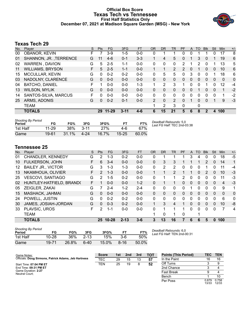# **Official Box Score Texas Tech vs Tennessee First Half Statistics Only December 07, 2021 at Madison Square Garden (MSG) - New York**



# **Texas Tech 29**

| No. | Player                  | S  | <b>Pts</b> | FG        | 3FG      | <b>FT</b> | <b>OR</b>     | <b>DR</b> | <b>TR</b>      | PF            | A        | TO           | <b>B</b> lk | Stl      | Min          | $+/-$ |
|-----|-------------------------|----|------------|-----------|----------|-----------|---------------|-----------|----------------|---------------|----------|--------------|-------------|----------|--------------|-------|
| 00  | OBANOR, KEVIN           | F  |            | 3-9       | $1-5$    | $0-0$     | 0             |           |                | 0             | 0        |              |             | 0        | 17           | 8     |
| 01  | SHANNON, JR., TERRENCE  | G  | 11         | $4-6$     | $0 - 1$  | $3 - 3$   |               | 4         | 5              | 0             |          | 3            | 0           |          | 19           | 6     |
| 02  | <b>WARREN, DAVION</b>   | G  | 5          | $2 - 5$   | $1 - 1$  | $0 - 0$   | 0             | 0         | 0              | 2             |          | 2            | 0           |          | 13           | 5     |
| 11  | <b>WILLIAMS, BRYSON</b> | F. | 5          | $2 - 5$   | $1 - 1$  | $0 - 0$   |               | 1         | $\overline{2}$ | $\mathcal{P}$ | $\Omega$ | 1            | $\Omega$    | $\Omega$ | 10           | 6     |
| 15  | MCCULLAR, KEVIN         | G  | 0          | $0 - 2$   | $0 - 2$  | $0 - 0$   | 0             | 5         | 5              | 0             | 3        | $\mathbf{0}$ | 0           |          | 18           | 6     |
| 03  | NADOLNY, CLARENCE       | G  | $\Omega$   | $0 - 0$   | $0 - 0$  | $0 - 0$   | 0             | 0         | $\Omega$       | 0             | 0        | $\Omega$     | 0           | 0        | $\mathbf{0}$ | 0     |
| 04  | <b>BATCHO, DANIEL</b>   | F  |            | $0 - 0$   | $0 - 0$  | $1 - 3$   | 1             | 2         | 3              | 1             | 0        | 0            | 1           | 0        | 12           | $-4$  |
| 13  | <b>WILSON, MYLIK</b>    | G  | $\Omega$   | $0 - 0$   | $0 - 0$  | $0 - 0$   | 0             | $\Omega$  | $\Omega$       | 0             | 0        |              | 0           | $\Omega$ | 1            | $-2$  |
| 14  | SANTOS-SILVA, MARCUS    | F  | 0          | $0 - 0$   | $0 - 0$  | $0 - 0$   | 0             | 0         | 0              | 0             | 0        | 0            | 0           | $\Omega$ | 1            | $-2$  |
| 25  | ARMS, ADONIS            | G  | $\Omega$   | $0 - 2$   | $0 - 1$  | $0 - 0$   | $\mathcal{P}$ | 0         | $\overline{2}$ | $\Omega$      |          | 0            | $\Omega$    |          | 9            | $-3$  |
|     | <b>TEAM</b>             |    |            |           |          |           | и             | 2         | 3              | 0             |          | 0            |             |          |              |       |
|     | <b>TOTALS</b>           |    | 29         | $11 - 29$ | $3 - 11$ | $4 - 6$   | 6             | 15        | 21             | 5             | 6        | 8            | 2           | 4        | 100          |       |
|     |                         |    |            |           |          |           |               |           |                |               |          |              |             |          |              |       |

| <b>Shooting By Period</b><br>Period | FG        | FG%      | 3FG      | 3FG%  | F1        | FT%   | Deadball Rebounds: 5,0<br>Last FG Half: TEC 2nd-03:38 |
|-------------------------------------|-----------|----------|----------|-------|-----------|-------|-------------------------------------------------------|
| 1st Half                            | $11 - 29$ | 38%      | $3 - 11$ | 27%   | 4-6       | 67%   |                                                       |
| Game                                | 19-61     | $31.1\%$ | 4-24     | 16.7% | $15 - 25$ | 60.0% |                                                       |

# **Tennessee 25**

| No. | Plaver                    | S | <b>Pts</b>    | FG.       | 3FG      | <b>FT</b> | <b>OR</b>    | DR.      | TR       | <b>PF</b>     | A        | TO. | <b>Blk</b>    | Stl      | Min          | $+/-$        |
|-----|---------------------------|---|---------------|-----------|----------|-----------|--------------|----------|----------|---------------|----------|-----|---------------|----------|--------------|--------------|
| 01  | CHANDLER, KENNEDY         | G | 2             | $1 - 3$   | $0 - 2$  | $0 - 0$   | 0            |          |          |               | 3        | 4   | 0             | 0        | 18           | $-5$         |
| 10  | <b>FULKERSON, JOHN</b>    | F | 6             | $3 - 4$   | $0 - 0$  | $0 - 0$   | 0            | 3        | 3        |               |          |     | $\mathcal{P}$ | $\Omega$ | 14           | 1            |
| 12  | <b>BAILEY JR., VICTOR</b> | G | 3             | $1 - 3$   | 1-3      | $0 - 0$   | 0            | 2        | 2        | 0             | 0        | 0   |               | 0        | 11           | $-4$         |
| 13  | NKAMHOUA, OLIVIER         | F | $\mathcal{P}$ | $1 - 3$   | $0 - 0$  | $0 - 0$   | $\mathbf{1}$ |          | 2        |               | 1        | 0   | $\mathcal{P}$ | $\Omega$ | 10           | -3           |
| 25  | <b>VESCOVI, SANTIAGO</b>  | G | $\mathcal{P}$ | $1-5$     | $0 - 2$  | $0 - 0$   | 0            |          |          | $\mathcal{P}$ | 0        | 0   | $\Omega$      | 0        | 11           | -3           |
| 02  | HUNTLEY-HATFIELD, BRAND(  | F |               | $0 - 0$   | $0 - 0$  | $1 - 2$   | 0            |          |          | 0             | 0        | 0   | $\mathbf{0}$  | $\Omega$ | 4            | $-3$         |
| 05  | ZEIGLER, ZAKAI            | G |               | $2 - 4$   | $1 - 2$  | $2 - 4$   | 0            | 0        | $\Omega$ | 0             | 1        | 0   | 0             | 0        | 9            | 1            |
| 15  | MASHACK, JAHMAI           | G | $\Omega$      | $0 - 0$   | $0 - 0$  | $0 - 0$   | $\Omega$     | $\Omega$ | $\Omega$ | $\Omega$      | $\Omega$ | 0   | $\Omega$      | $\Omega$ | $\mathbf{0}$ | $\Omega$     |
| 24  | POWELL, JUSTIN            | G | $\Omega$      | $0 - 2$   | $0 - 2$  | $0 - 0$   | 0            | 0        | $\Omega$ | $\Omega$      | 0        | 0   | 0             | 0        | 6            | $\mathbf{0}$ |
| 30  | JAMES, JOSIAH-JORDAN      | G | 0             | $0 - 3$   | $0 - 2$  | $0 - 0$   | $\mathbf{1}$ | 3        | 4        |               | 0        | 0   | $\Omega$      | $\Omega$ | 10           | -8           |
| 33  | PLAVSIC, UROS             | F | 2             | 1-1       | $0 - 0$  | $0 - 0$   | 0            |          |          |               | 0        | 0   | $\Omega$      | 0        | 7            | 4            |
|     | <b>TEAM</b>               |   |               |           |          |           |              | 0        |          | 0             |          |     |               |          |              |              |
|     | <b>TOTALS</b>             |   | 25            | $10 - 28$ | $2 - 13$ | $3 - 6$   | 3            | 13       | 16       | 7             | 6        | 6   | 5             | 0        | 100          |              |

| <b>Shooting By Period</b><br>Period | FG        | FG%   | 3FG      | 3FG%  | FТ       | FT%   |
|-------------------------------------|-----------|-------|----------|-------|----------|-------|
| 1st Half                            | $10 - 28$ | 36%   | $2 - 13$ | 15%   | $3-6$    | 50%   |
| Game                                | 19-71     | 26.8% | 6-40     | 15.0% | $8 - 16$ | 50.0% |

*Deadball Rebounds:* 6,0 *Last FG Half:* TEN 2nd-00:31

| Game Notes:                                          | <b>Score</b> | 1st | 2nd | 3rd | <b>TOT</b> | <b>Points (This Period)</b> | TEC            | <b>TEN</b>     |
|------------------------------------------------------|--------------|-----|-----|-----|------------|-----------------------------|----------------|----------------|
| Officials: Doug Sirmons, Patrick Adams, Jeb Hartness | TEC          | 29  | 15  | 13  | 57         | In the Paint                | 16             | 16             |
| Start Time: 07:04 PM ET                              | TEN          | 25  | 19  | 8   | 52         | Off Turns                   |                | 9              |
| End Time: 09:31 PM ET                                |              |     |     |     |            | 2nd Chance                  |                |                |
| Game Duration: 2:27<br>Neutral Court:                |              |     |     |     |            | <b>Fast Break</b>           |                |                |
|                                                      |              |     |     |     |            | Bench                       |                | 10             |
|                                                      |              |     |     |     |            | Per Poss                    | 0.879<br>13/33 | 0.758<br>12/33 |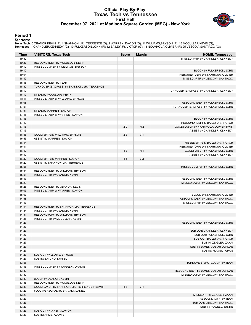# **Official Play-By-Play Texas Tech vs Tennessee First Half December 07, 2021 at Madison Square Garden (MSG) - New York**



### **Period 1**

<mark>Starters:</mark><br>Texas Tech: 0 OBANOR,KEVIN (F); 1 SHANNON, JR. ,TERRENCE (G); 2 WARREN ,DAVION (G); 11 WILLIAMS,BRYSON (F); 15 MCCULLAR,KEVIN (G);<br>Tennessee: 1 CHANDLER,KENNEDY (G); 10 FULKERSON,JOHN (F); 12 BAILEY JR.,VICTOR

| Time           | <b>VISITORS: Texas Tech</b>                                  | <b>Score</b> | <b>Margin</b>  | <b>HOME: Tennessee</b>                                  |
|----------------|--------------------------------------------------------------|--------------|----------------|---------------------------------------------------------|
| 19:32          |                                                              |              |                | MISSED 3PTR by CHANDLER, KENNEDY                        |
| 19:27          | REBOUND (DEF) by MCCULLAR, KEVIN                             |              |                |                                                         |
| 19:12          | MISSED JUMPER by WILLIAMS, BRYSON                            |              |                |                                                         |
| 19:12          |                                                              |              |                | BLOCK by FULKERSON, JOHN                                |
| 19:04          |                                                              |              |                | REBOUND (DEF) by NKAMHOUA, OLIVIER                      |
| 18:49          |                                                              |              |                | MISSED 3PTR by VESCOVI, SANTIAGO                        |
| 18:48          | REBOUND (DEF) by TEAM                                        |              |                |                                                         |
| 18:32          | TURNOVER (BADPASS) by SHANNON, JR., TERRENCE                 |              |                |                                                         |
| 18:19          |                                                              |              |                | TURNOVER (BADPASS) by CHANDLER, KENNEDY                 |
| 18:19<br>18:11 | STEAL by MCCULLAR, KEVIN<br>MISSED LAYUP by WILLIAMS, BRYSON |              |                |                                                         |
| 18:08          |                                                              |              |                | REBOUND (DEF) by FULKERSON, JOHN                        |
| 17:51          |                                                              |              |                | TURNOVER (BADPASS) by FULKERSON, JOHN                   |
| 17:51          | STEAL by WARREN, DAVION                                      |              |                |                                                         |
| 17:46          | MISSED LAYUP by WARREN, DAVION                               |              |                |                                                         |
| 17:46          |                                                              |              |                | BLOCK by FULKERSON, JOHN                                |
| 17:42          |                                                              |              |                | REBOUND (DEF) by BAILEY JR., VICTOR                     |
| 17:16          |                                                              | $2 - 0$      | H <sub>2</sub> | GOOD! LAYUP by NKAMHOUA, OLIVIER [PNT]                  |
| 17:16          |                                                              |              |                | ASSIST by CHANDLER, KENNEDY                             |
| 16:56          | GOOD! 3PTR by WILLIAMS, BRYSON                               | $2 - 3$      | V <sub>1</sub> |                                                         |
| 16:56          | ASSIST by WARREN, DAVION                                     |              |                |                                                         |
| 16:44          |                                                              |              |                | MISSED 3PTR by BAILEY JR., VICTOR                       |
| 16:41          |                                                              |              |                | REBOUND (OFF) by NKAMHOUA, OLIVIER                      |
| 16:40          |                                                              | $4 - 3$      | H <sub>1</sub> | GOOD! LAYUP by FULKERSON, JOHN                          |
| 16:40          |                                                              |              |                | ASSIST by CHANDLER, KENNEDY                             |
| 16:20          | GOOD! 3PTR by WARREN, DAVION                                 | $4 - 6$      | V <sub>2</sub> |                                                         |
| 16:20          | ASSIST by SHANNON, JR., TERRENCE                             |              |                |                                                         |
| 15:58<br>15:54 | REBOUND (DEF) by WILLIAMS, BRYSON                            |              |                | MISSED JUMPER by FULKERSON, JOHN                        |
| 15:51          | MISSED 3PTR by OBANOR, KEVIN                                 |              |                |                                                         |
| 15:47          |                                                              |              |                | REBOUND (DEF) by FULKERSON, JOHN                        |
| 15:29          |                                                              |              |                | MISSED LAYUP by VESCOVI, SANTIAGO                       |
| 15:26          | REBOUND (DEF) by OBANOR, KEVIN                               |              |                |                                                         |
| 15:03          | MISSED LAYUP by WARREN, DAVION                               |              |                |                                                         |
| 15:03          |                                                              |              |                | BLOCK by NKAMHOUA, OLIVIER                              |
| 14:58          |                                                              |              |                | REBOUND (DEF) by VESCOVI, SANTIAGO                      |
| 14:47          |                                                              |              |                | MISSED 3PTR by VESCOVI, SANTIAGO                        |
| 14:44          | REBOUND (DEF) by SHANNON, JR., TERRENCE                      |              |                |                                                         |
| 14:34          | MISSED 3PTR by OBANOR, KEVIN                                 |              |                |                                                         |
| 14:31          | REBOUND (OFF) by WILLIAMS, BRYSON                            |              |                |                                                         |
| 14:28          | MISSED 3PTR by MCCULLAR, KEVIN                               |              |                |                                                         |
| 14:27          |                                                              |              |                | REBOUND (DEF) by FULKERSON, JOHN                        |
| 14:27          |                                                              |              |                |                                                         |
| 14:27<br>14:27 |                                                              |              |                | SUB OUT: CHANDLER, KENNEDY                              |
| 14:27          |                                                              |              |                | SUB OUT: FULKERSON, JOHN<br>SUB OUT: BAILEY JR., VICTOR |
| 14:27          |                                                              |              |                | SUB IN: ZEIGLER, ZAKAI                                  |
| 14:27          |                                                              |              |                | SUB IN: JAMES, JOSIAH-JORDAN                            |
| 14:27          |                                                              |              |                | SUB IN: PLAVSIC, UROS                                   |
| 14:27          | SUB OUT: WILLIAMS, BRYSON                                    |              |                |                                                         |
| 14:27          | SUB IN: BATCHO, DANIEL                                       |              |                |                                                         |
| 13:58          |                                                              |              |                | TURNOVER (SHOTCLOCK) by TEAM                            |
| 13:45          | MISSED JUMPER by WARREN, DAVION                              |              |                |                                                         |
| 13:39          |                                                              |              |                | REBOUND (DEF) by JAMES, JOSIAH-JORDAN                   |
| 13:39          |                                                              |              |                | MISSED LAYUP by VESCOVI, SANTIAGO                       |
| 13:39          | BLOCK by OBANOR, KEVIN                                       |              |                |                                                         |
| 13:35          | REBOUND (DEF) by MCCULLAR, KEVIN                             |              |                |                                                         |
| 13:33          | GOOD! LAYUP by SHANNON, JR., TERRENCE [FB/PNT]               | $4 - 8$      | V <sub>4</sub> |                                                         |
| 13:23          | FOUL (PERSONAL) by BATCHO, DANIEL                            |              |                |                                                         |
| 13:23          |                                                              |              |                | MISSED FT by ZEIGLER, ZAKAI                             |
| 13:23          |                                                              |              |                | REBOUND (OFF) by TEAM                                   |
| 13:23<br>13:23 |                                                              |              |                | SUB OUT: VESCOVI, SANTIAGO<br>SUB IN: POWELL, JUSTIN    |
| 13:23          | SUB OUT: WARREN, DAVION                                      |              |                |                                                         |
| 13:23          | SUB IN: ARMS, ADONIS                                         |              |                |                                                         |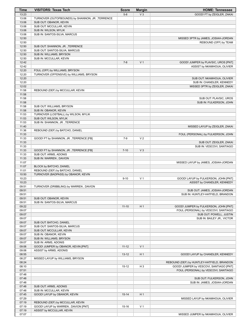| Time           | <b>VISITORS: Texas Tech</b>                      | <b>Score</b> | <b>Margin</b>  | <b>HOME: Tennessee</b>                     |
|----------------|--------------------------------------------------|--------------|----------------|--------------------------------------------|
| 13:23          |                                                  | $5-8$        | $V_3$          | GOOD! FT by ZEIGLER, ZAKAI                 |
| 13:06          | TURNOVER (OUTOFBOUNDS) by SHANNON, JR., TERRENCE |              |                |                                            |
| 13:06          | SUB OUT: OBANOR, KEVIN                           |              |                |                                            |
| 13:06          | SUB OUT: MCCULLAR, KEVIN                         |              |                |                                            |
| 13:06          | SUB IN: WILSON, MYLIK                            |              |                |                                            |
| 13:06          | SUB IN: SANTOS-SILVA, MARCUS                     |              |                |                                            |
| 12:50          |                                                  |              |                | MISSED 3PTR by JAMES, JOSIAH-JORDAN        |
| 12:50          |                                                  |              |                | REBOUND (OFF) by TEAM                      |
| 12:50          | SUB OUT: SHANNON, JR., TERRENCE                  |              |                |                                            |
| 12:50          | SUB OUT: SANTOS-SILVA, MARCUS                    |              |                |                                            |
| 12:50          | SUB IN: WILLIAMS, BRYSON                         |              |                |                                            |
| 12:50          | SUB IN: MCCULLAR, KEVIN                          |              |                |                                            |
| 12:42          |                                                  | $7 - 8$      | V <sub>1</sub> | GOOD! JUMPER by PLAVSIC, UROS [PNT]        |
| 12:42          |                                                  |              |                | ASSIST by NKAMHOUA, OLIVIER                |
| 12:20          | FOUL (OFF) by WILLIAMS, BRYSON                   |              |                |                                            |
| 12:20          | TURNOVER (OFFENSIVE) by WILLIAMS, BRYSON         |              |                |                                            |
| 12:20          |                                                  |              |                | SUB OUT: NKAMHOUA, OLIVIER                 |
| 12:20          |                                                  |              |                | SUB IN: CHANDLER, KENNEDY                  |
| 12:02          |                                                  |              |                | MISSED 3PTR by ZEIGLER, ZAKAI              |
| 11:58<br>11:58 | REBOUND (DEF) by MCCULLAR, KEVIN                 |              |                |                                            |
| 11:58          |                                                  |              |                | SUB OUT: PLAVSIC, UROS                     |
| 11:58          |                                                  |              |                | SUB IN: FULKERSON, JOHN                    |
| 11:58          | SUB OUT: WILLIAMS, BRYSON                        |              |                |                                            |
| 11:58          | SUB IN: OBANOR, KEVIN                            |              |                |                                            |
| 11:53          | TURNOVER (LOSTBALL) by WILSON, MYLIK             |              |                |                                            |
| 11:53          | SUB OUT: WILSON, MYLIK                           |              |                |                                            |
| 11:53          | SUB IN: SHANNON, JR., TERRENCE                   |              |                |                                            |
| 11:40          |                                                  |              |                | MISSED LAYUP by ZEIGLER, ZAKAI             |
| 11:36          | REBOUND (DEF) by BATCHO, DANIEL                  |              |                |                                            |
| 11:33          |                                                  |              |                | FOUL (PERSONAL) by FULKERSON, JOHN         |
| 11:33          | GOOD! FT by SHANNON, JR., TERRENCE [FB]          | $7-9$        | V <sub>2</sub> |                                            |
| 11:33          |                                                  |              |                | SUB OUT: ZEIGLER, ZAKAI                    |
| 11:33          |                                                  |              |                | SUB IN: VESCOVI, SANTIAGO                  |
| 11:33          | GOOD! FT by SHANNON, JR., TERRENCE [FB]          | $7 - 10$     | V <sub>3</sub> |                                            |
| 11:33          | SUB OUT: ARMS, ADONIS                            |              |                |                                            |
| 11:33          | SUB IN: WARREN, DAVION                           |              |                |                                            |
| 11:07          |                                                  |              |                | MISSED LAYUP by JAMES, JOSIAH-JORDAN       |
| 11:07          | BLOCK by BATCHO, DANIEL                          |              |                |                                            |
| 11:01          | REBOUND (DEF) by BATCHO, DANIEL                  |              |                |                                            |
| 10:50          | TURNOVER (BADPASS) by OBANOR, KEVIN              |              |                |                                            |
| 10:23          |                                                  | $9 - 10$     | V <sub>1</sub> | GOOD! LAYUP by FULKERSON, JOHN [PNT]       |
| 10:23          |                                                  |              |                | ASSIST by CHANDLER, KENNEDY                |
| 09:51          | TURNOVER (DRIBBLING) by WARREN, DAVION           |              |                |                                            |
| 09:51          |                                                  |              |                | SUB OUT: JAMES, JOSIAH-JORDAN              |
| 09:51          |                                                  |              |                | SUB IN: HUNTLEY-HATFIELD, BRANDON          |
| 09:51          | SUB OUT: OBANOR, KEVIN                           |              |                |                                            |
| 09:51          | SUB IN: SANTOS-SILVA, MARCUS                     |              |                |                                            |
| 09:22          |                                                  | $11 - 10$    | H1             | GOOD! JUMPER by FULKERSON, JOHN [PNT]      |
| 09:07          |                                                  |              |                | FOUL (PERSONAL) by VESCOVI, SANTIAGO       |
| 09:07          |                                                  |              |                | SUB OUT: POWELL, JUSTIN                    |
| 09:07          |                                                  |              |                | SUB IN: BAILEY JR., VICTOR                 |
| 09:07          | SUB OUT: BATCHO, DANIEL                          |              |                |                                            |
| 09:07          | SUB OUT: SANTOS-SILVA, MARCUS                    |              |                |                                            |
| 09:07          | SUB OUT: MCCULLAR, KEVIN                         |              |                |                                            |
| 09:07          | SUB IN: OBANOR, KEVIN                            |              |                |                                            |
| 09:07          | SUB IN: WILLIAMS, BRYSON                         |              |                |                                            |
| 09:07          | SUB IN: ARMS, ADONIS                             |              |                |                                            |
| 09:06          | GOOD! JUMPER by OBANOR, KEVIN [PNT]              | $11 - 12$    | V <sub>1</sub> |                                            |
| 09:06<br>08:55 | ASSIST by ARMS, ADONIS                           |              | H <sub>1</sub> |                                            |
| 08:27          |                                                  | $13 - 12$    |                | GOOD! LAYUP by CHANDLER, KENNEDY           |
| 08:24          | MISSED LAYUP by WILLIAMS, BRYSON                 |              |                | REBOUND (DEF) by HUNTLEY-HATFIELD, BRANDON |
| 08:10          |                                                  | $15-12$      | H <sub>3</sub> | GOOD! JUMPER by VESCOVI, SANTIAGO [PNT]    |
| 07:51          |                                                  |              |                | FOUL (PERSONAL) by VESCOVI, SANTIAGO       |
| 07:48          |                                                  |              |                |                                            |
| 07:48          |                                                  |              |                | SUB OUT: FULKERSON, JOHN                   |
| 07:48          |                                                  |              |                | SUB IN: JAMES, JOSIAH-JORDAN               |
| 07:48          | SUB OUT: ARMS, ADONIS                            |              |                |                                            |
| 07:48          | SUB IN: MCCULLAR, KEVIN                          |              |                |                                            |
| 07:45          | GOOD! LAYUP by OBANOR, KEVIN                     | $15 - 14$    | H1             |                                            |
| 07:29          |                                                  |              |                | MISSED LAYUP by NKAMHOUA, OLIVIER          |
| 07:19          | REBOUND (DEF) by MCCULLAR, KEVIN                 |              |                |                                            |
| 07:19          | GOOD! LAYUP by WARREN, DAVION [PNT]              | $15 - 16$    | V <sub>1</sub> |                                            |
| 07:19          | ASSIST by MCCULLAR, KEVIN                        |              |                |                                            |
| 07:07          |                                                  |              |                | MISSED JUMPER by NKAMHOUA, OLIVIER         |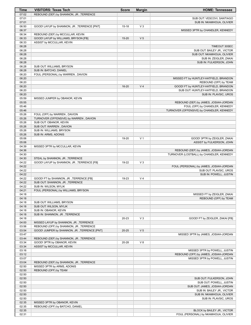| Time           | <b>VISITORS: Texas Tech</b>                              | <b>Score</b> | <b>Margin</b>  | <b>HOME: Tennessee</b>                    |
|----------------|----------------------------------------------------------|--------------|----------------|-------------------------------------------|
| 07:02          | REBOUND (DEF) by SHANNON, JR., TERRENCE                  |              |                |                                           |
| 07:01<br>07:01 |                                                          |              |                | SUB OUT: VESCOVI, SANTIAGO                |
| 06:50          | GOOD! LAYUP by SHANNON, JR., TERRENCE [PNT]              | $15 - 18$    | $V_3$          | SUB IN: NKAMHOUA, OLIVIER                 |
| 06:37          |                                                          |              |                | MISSED 3PTR by CHANDLER, KENNEDY          |
| 06:34          | REBOUND (DEF) by MCCULLAR, KEVIN                         |              |                |                                           |
| 06:33          | GOOD! LAYUP by WILLIAMS, BRYSON [FB]                     | $15 - 20$    | V <sub>5</sub> |                                           |
| 06:33          | ASSIST by MCCULLAR, KEVIN                                |              |                |                                           |
| 06:28          |                                                          |              |                | TIMEOUT 30SEC                             |
| 06:28          |                                                          |              |                | SUB OUT: BAILEY JR., VICTOR               |
| 06:28          |                                                          |              |                | SUB OUT: NKAMHOUA, OLIVIER                |
| 06:28          |                                                          |              |                | SUB IN: ZEIGLER, ZAKAI                    |
| 06:28<br>06:28 | SUB OUT: WILLIAMS, BRYSON                                |              |                | SUB IN: FULKERSON, JOHN                   |
| 06:28          | SUB IN: BATCHO, DANIEL                                   |              |                |                                           |
| 06:20          | FOUL (PERSONAL) by WARREN, DAVION                        |              |                |                                           |
| 06:20          |                                                          |              |                | MISSED FT by HUNTLEY-HATFIELD, BRANDON    |
| 06:20          |                                                          |              |                | REBOUND (OFF) by TEAM                     |
| 06:20          |                                                          | $16 - 20$    | V <sub>4</sub> | GOOD! FT by HUNTLEY-HATFIELD, BRANDON     |
| 06:20          |                                                          |              |                | SUB OUT: HUNTLEY-HATFIELD, BRANDON        |
| 06:20<br>05:59 | MISSED JUMPER by OBANOR, KEVIN                           |              |                | SUB IN: PLAVSIC, UROS                     |
| 05:55          |                                                          |              |                | REBOUND (DEF) by JAMES, JOSIAH-JORDAN     |
| 05:46          |                                                          |              |                | FOUL (OFF) by CHANDLER, KENNEDY           |
| 05:46          |                                                          |              |                | TURNOVER (OFFENSIVE) by CHANDLER, KENNEDY |
| 05:26          | FOUL (OFF) by WARREN, DAVION                             |              |                |                                           |
| 05:26          | TURNOVER (OFFENSIVE) by WARREN, DAVION                   |              |                |                                           |
| 05:26          | SUB OUT: OBANOR, KEVIN                                   |              |                |                                           |
| 05:26<br>05:26 | SUB OUT: WARREN, DAVION                                  |              |                |                                           |
| 05:26          | SUB IN: WILLIAMS, BRYSON<br>SUB IN: ARMS, ADONIS         |              |                |                                           |
| 05:06          |                                                          | 19-20        | V <sub>1</sub> | GOOD! 3PTR by ZEIGLER, ZAKAI              |
| 05:06          |                                                          |              |                | ASSIST by FULKERSON, JOHN                 |
| 04:39          | MISSED 3PTR by MCCULLAR, KEVIN                           |              |                |                                           |
| 04:36          |                                                          |              |                | REBOUND (DEF) by JAMES, JOSIAH-JORDAN     |
| 04:30<br>04:30 | STEAL by SHANNON, JR., TERRENCE                          |              |                | TURNOVER (LOSTBALL) by CHANDLER, KENNEDY  |
| 04:22          | GOOD! LAYUP by SHANNON, JR., TERRENCE [FB]               | 19-22        | $V_3$          |                                           |
| 04:22          |                                                          |              |                | FOUL (PERSONAL) by JAMES, JOSIAH-JORDAN   |
| 04:22          |                                                          |              |                | SUB OUT: PLAVSIC, UROS                    |
| 04:22          |                                                          |              |                | SUB IN: POWELL, JUSTIN                    |
| 04:22<br>04:22 | GOOD! FT by SHANNON, JR., TERRENCE [FB]                  | 19-23        | V <sub>4</sub> |                                           |
| 04:22          | SUB OUT: SHANNON, JR., TERRENCE<br>SUB IN: WILSON, MYLIK |              |                |                                           |
| 04:21          | FOUL (PERSONAL) by WILLIAMS, BRYSON                      |              |                |                                           |
| 04:18          |                                                          |              |                | MISSED FT by ZEIGLER, ZAKAI               |
| 04:18          |                                                          |              |                | REBOUND (OFF) by TEAM                     |
| 04:18          | SUB OUT: WILLIAMS, BRYSON                                |              |                |                                           |
| 04:18          | SUB OUT: WILSON, MYLIK                                   |              |                |                                           |
| 04:18          | SUB IN: OBANOR, KEVIN                                    |              |                |                                           |
| 04:18<br>04:18 | SUB IN: SHANNON, JR., TERRENCE                           | 20-23        | $V_3$          | GOOD! FT by ZEIGLER, ZAKAI [FB]           |
| 04:00          | MISSED LAYUP by SHANNON, JR., TERRENCE                   |              |                |                                           |
| 03:56          | REBOUND (OFF) by SHANNON, JR., TERRENCE                  |              |                |                                           |
| 03:54          | GOOD! JUMPER by SHANNON, JR., TERRENCE [PNT]             | $20 - 25$    | V <sub>5</sub> |                                           |
| 03:47          |                                                          |              |                | MISSED 3PTR by JAMES, JOSIAH-JORDAN       |
| 03:44          | REBOUND (DEF) by SHANNON, JR., TERRENCE                  |              |                |                                           |
| 03:34<br>03:34 | GOOD! 3PTR by OBANOR, KEVIN<br>ASSIST by MCCULLAR, KEVIN | 20-28        | V8             |                                           |
| 03:16          |                                                          |              |                | MISSED 3PTR by POWELL, JUSTIN             |
| 03:12          |                                                          |              |                | REBOUND (OFF) by JAMES, JOSIAH-JORDAN     |
| 03:07          |                                                          |              |                | MISSED 3PTR by POWELL, JUSTIN             |
| 03:04          | REBOUND (DEF) by SHANNON, JR., TERRENCE                  |              |                |                                           |
| 02:50          | MISSED 3PTR by ARMS, ADONIS                              |              |                |                                           |
| 02:50<br>02:50 | REBOUND (OFF) by TEAM                                    |              |                |                                           |
| 02:50          |                                                          |              |                | SUB OUT: FULKERSON, JOHN                  |
| 02:50          |                                                          |              |                | SUB OUT: POWELL, JUSTIN                   |
| 02:50          |                                                          |              |                | SUB OUT: JAMES, JOSIAH-JORDAN             |
| 02:50          |                                                          |              |                | SUB IN: BAILEY JR., VICTOR                |
| 02:50          |                                                          |              |                | SUB IN: NKAMHOUA, OLIVIER                 |
| 02:50<br>02:35 | MISSED 3PTR by OBANOR, KEVIN                             |              |                | SUB IN: PLAVSIC, UROS                     |
| 02:35          | REBOUND (OFF) by BATCHO, DANIEL                          |              |                |                                           |
| 02:35          |                                                          |              |                | BLOCK by BAILEY JR., VICTOR               |
| 02:31          |                                                          |              |                | FOUL (PERSONAL) by NKAMHOUA, OLIVIER      |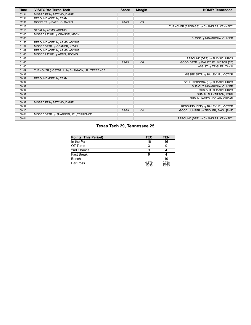| Time  | <b>VISITORS: Texas Tech</b>                   | <b>Score</b> | <b>Margin</b>  | <b>HOME: Tennessee</b>                  |
|-------|-----------------------------------------------|--------------|----------------|-----------------------------------------|
| 02:31 | MISSED FT by BATCHO, DANIEL                   |              |                |                                         |
| 02:31 | REBOUND (OFF) by TEAM                         |              |                |                                         |
| 02:31 | GOOD! FT by BATCHO, DANIEL                    | 20-29        | V <sub>9</sub> |                                         |
| 02:18 |                                               |              |                | TURNOVER (BADPASS) by CHANDLER, KENNEDY |
| 02:18 | STEAL by ARMS, ADONIS                         |              |                |                                         |
| 02:00 | MISSED LAYUP by OBANOR, KEVIN                 |              |                |                                         |
| 02:00 |                                               |              |                | BLOCK by NKAMHOUA, OLIVIER              |
| 01:55 | REBOUND (OFF) by ARMS, ADONIS                 |              |                |                                         |
| 01:52 | MISSED 3PTR by OBANOR, KEVIN                  |              |                |                                         |
| 01:49 | REBOUND (OFF) by ARMS, ADONIS                 |              |                |                                         |
| 01:48 | MISSED LAYUP by ARMS, ADONIS                  |              |                |                                         |
| 01:46 |                                               |              |                | REBOUND (DEF) by PLAVSIC, UROS          |
| 01:40 |                                               | 23-29        | $V_6$          | GOOD! 3PTR by BAILEY JR., VICTOR [FB]   |
| 01:40 |                                               |              |                | ASSIST by ZEIGLER, ZAKAI                |
| 01:09 | TURNOVER (LOSTBALL) by SHANNON, JR., TERRENCE |              |                |                                         |
| 00:37 |                                               |              |                | MISSED 3PTR by BAILEY JR., VICTOR       |
| 00:37 | REBOUND (DEF) by TEAM                         |              |                |                                         |
| 00:37 |                                               |              |                | FOUL (PERSONAL) by PLAVSIC, UROS        |
| 00:37 |                                               |              |                | SUB OUT: NKAMHOUA, OLIVIER              |
| 00:37 |                                               |              |                | SUB OUT: PLAVSIC, UROS                  |
| 00:37 |                                               |              |                | SUB IN: FULKERSON, JOHN                 |
| 00:37 |                                               |              |                | SUB IN: JAMES, JOSIAH-JORDAN            |
| 00:37 | MISSED FT by BATCHO, DANIEL                   |              |                |                                         |
| 00:37 |                                               |              |                | REBOUND (DEF) by BAILEY JR., VICTOR     |
| 00:10 |                                               | 25-29        | V <sub>4</sub> | GOOD! JUMPER by ZEIGLER, ZAKAI [PNT]    |
| 00:01 | MISSED 3PTR by SHANNON, JR., TERRENCE         |              |                |                                         |
| 00:01 |                                               |              |                | REBOUND (DEF) by CHANDLER, KENNEDY      |

# **Texas Tech 29, Tennessee 25**

| <b>Points (This Period)</b> | <b>TEC</b>     | <b>TEN</b>     |
|-----------------------------|----------------|----------------|
| In the Paint                | 16             | 16             |
| Off Turns                   |                |                |
| 2nd Chance                  |                |                |
| Fast Break                  |                |                |
| Bench                       |                | 10             |
| Per Poss                    | 0.879<br>13/33 | 0.758<br>12/33 |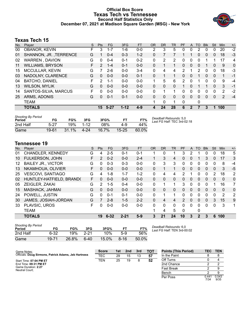# **Official Box Score Texas Tech vs Tennessee Second Half Statistics Only December 07, 2021 at Madison Square Garden (MSG) - New York**



# **Texas Tech 15**

| No. | Plaver                  | S  | <b>Pts</b> | FG      | 3FG      | <b>FT</b> | <b>OR</b> | <b>DR</b> | TR | PF             | A            | TO       | <b>Blk</b> | Stl      | <b>Min</b> | $+/-$ |
|-----|-------------------------|----|------------|---------|----------|-----------|-----------|-----------|----|----------------|--------------|----------|------------|----------|------------|-------|
| 00  | OBANOR, KEVIN           | F  | 3          | 1-7     | 1-6      | $0-0$     | 2         | 3         | 5  | 0              | 0            | 2        | 0          | 0        | 20         | $-2$  |
| 01  | SHANNON, JR., TERRENCE  | G  |            | $0 - 4$ | $0 - 3$  | $1 - 2$   | 0         |           |    |                |              | 0        | 0          | 0        | 18         | $-3$  |
| 02  | WARREN, DAVION          | G  | 0          | $0 - 4$ | $0 - 1$  | $0 - 2$   | 0         | 2         | 2  | 0              | 0            | 0        |            |          | 17         | 4     |
| 11  | <b>WILLIAMS, BRYSON</b> | F. | 2          | $1 - 4$ | $0 - 1$  | $0 - 0$   | 0         | 1         | 1  | 0              | 0            | 0        |            | 0        | 9          | 0     |
| 15  | MCCULLAR, KEVIN         | G  |            | $2-6$   | $0 - 0$  | $3-4$     | 0         | 4         | 4  | 2              |              | 2        | $\Omega$   | 0        | 18         | $-3$  |
| 03  | NADOLNY, CLARENCE       | G  | $\Omega$   | $0 - 0$ | $0 - 0$  | $0 - 1$   | 0         | 1         | 1  | 0              | 0            |          | 0          | 0        | 1          | $-1$  |
| 04  | <b>BATCHO, DANIEL</b>   | F  | 2          | 1-1     | $0 - 0$  | $0 - 0$   | 1.        | 5         | 6  | $\overline{2}$ | 0            |          | 0          | 0        | 9          | -4    |
| 13  | <b>WILSON, MYLIK</b>    | G  | $\Omega$   | $0 - 0$ | $0 - 0$  | $0 - 0$   | 0         | $\Omega$  | 0  | 1              | 0            |          |            | $\Omega$ | 3          | $-1$  |
| 14  | SANTOS-SILVA, MARCUS    | F. | 0          | $0 - 0$ | $0 - 0$  | $0 - 0$   | 0         | 1         | 1  | 0              | 0            | 0        | 0          | 0        | 2          | $-2$  |
| 25  | ARMS, ADONIS            | G  | $\Omega$   | $0 - 1$ | $0 - 1$  | $0 - 0$   | 0         | $\Omega$  | 0  | 0              | 0            | $\Omega$ | $\Omega$   | 0        | 2          | $-4$  |
|     | <b>TEAM</b>             |    |            |         |          |           |           | 0         | 1  | 0              |              | 0        |            |          |            |       |
|     | <b>TOTALS</b>           |    | 15         | -5-27   | $1 - 12$ | 4-9       | 4         | 24        | 28 | 6              | $\mathbf{2}$ |          | 3          | 1        | 100        |       |
|     |                         |    |            |         |          |           |           |           |    |                |              |          |            |          |            |       |

| <b>Shooting By Period</b><br>Period | FG       | FG%      | 3FG      | 3FG%     | FT        | FT%   | Deadball Rebounds: 5,0<br>Last FG Half: TEC 3rd-02:18 |
|-------------------------------------|----------|----------|----------|----------|-----------|-------|-------------------------------------------------------|
| 2nd Half                            | $5 - 27$ | 19%      | $1 - 12$ | 08%      | 4-9       | 44%   |                                                       |
| Game                                | 19-61    | $31.1\%$ | 4-24     | $16.7\%$ | $15 - 25$ | 60.0% |                                                       |

# **Tennessee 19**

| No. | Player                    | S  | <b>Pts</b>     | FG       | 3FG      | <b>FT</b> | <b>OR</b>    | DR. | TR           | PF            | A        | TO           | <b>Blk</b>   | Stl      | Min      | $+/-$          |
|-----|---------------------------|----|----------------|----------|----------|-----------|--------------|-----|--------------|---------------|----------|--------------|--------------|----------|----------|----------------|
| 01  | CHANDLER, KENNEDY         | G  | 4              | $2 - 5$  | $0 - 1$  | $0 - 1$   | 1            | 0   |              | 3             | 2        |              | 0            | 0        | 18       | 5              |
| 10  | FULKERSON, JOHN           | F  | $\mathcal{P}$  | $0 - 2$  | $0 - 0$  | $2 - 4$   | 1.           | 3   | 4            | $\Omega$      | 0        |              | 3            | $\Omega$ | 17       | 3              |
| 12  | <b>BAILEY JR., VICTOR</b> | G  | 0              | $0 - 3$  | $0 - 3$  | $0 - 0$   | $\mathbf{0}$ | 3   | 3            | 0             | 0        | 0            | 0            | 0        | 8        | $-4$           |
| 13  | NKAMHOUA, OLIVIER         | F  | 0              | $0 - 0$  | $0 - 0$  | $0 - 0$   | $\Omega$     |     | 1            | 0             | 0        | 0            | $\mathbf{0}$ | $\Omega$ | 3        | -5             |
| 25  | <b>VESCOVI, SANTIAGO</b>  | G  | 4              | 1-8      | $1 - 7$  | $1 - 2$   | $\Omega$     | 4   | 4            | 2             | 1        | 0            | 0            | 2        | 18       | 2              |
| 02  | HUNTLEY-HATFIELD, BRAND(  | F. | 0              | $0 - 0$  | $0 - 0$  | $0-0$     | $\Omega$     | 0   | $\mathbf{0}$ | $\Omega$      | 0        | 0            | $\Omega$     | 0        | $\Omega$ | $\Omega$       |
| 05  | ZEIGLER, ZAKAI            | G  | 2              | $1 - 5$  | $0 - 4$  | $0 - 0$   | $\Omega$     | 1   | 1            | 3             | 0        | 0            | $\Omega$     |          | 16       | $\overline{7}$ |
| 15  | MASHACK, JAHMAI           | G  | 0              | $0 - 0$  | $0 - 0$  | $0 - 0$   | $\Omega$     | 0   | 0            | $\Omega$      | 0        | 0            | $\mathbf{0}$ | 0        | 0        | 0              |
| 24  | POWELL, JUSTIN            | G  | 0              | $0 - 1$  | $0 - 1$  | $0 - 0$   | $\Omega$     |     |              | 0             | 0        | 0            | 0            | 0        | 2        | 2              |
| 30  | JAMES, JOSIAH-JORDAN      | G  | $\overline{7}$ | $2 - 8$  | $1 - 5$  | $2 - 2$   | $\Omega$     | 4   | 4            | $\mathcal{P}$ | $\Omega$ | 0            | $\Omega$     | 3        | 15       | 9              |
| 33  | PLAVSIC, UROS             | F  | 0              | $0-0$    | $0 - 0$  | $0 - 0$   | 0            | 0   | $\Omega$     | 0             | $\Omega$ | 0            | $\Omega$     | 0        | 3        | 1              |
|     | TEAM                      |    |                |          |          |           | 1            | 4   | 5            | 0             |          | 0            |              |          |          |                |
|     | <b>TOTALS</b>             |    | 19             | $6 - 32$ | $2 - 21$ | $5-9$     | 3            | 21  | 24           | 10            | 3        | $\mathbf{2}$ | 3            | 6        | 100      |                |

| <b>Shooting By Period</b><br>Period | FG    | FG%   | 3FG  | 3FG%  | FT   | FT%   |
|-------------------------------------|-------|-------|------|-------|------|-------|
| 2nd Half                            | 6-32  | 19%   | 2-21 | 10%   | 5-9  | 56%   |
| Game                                | 19-71 | 26.8% | 6-40 | 15.0% | 8-16 | 50.0% |

*Deadball Rebounds:* 6,0 *Last FG Half:* TEN 3rd-00:02

| Game Notes:                                          | <b>Score</b> | 1st | 2nd | 3rd | <b>TOT</b> | <b>Points (This Period)</b> | TEC           | <b>TEN</b>    |
|------------------------------------------------------|--------------|-----|-----|-----|------------|-----------------------------|---------------|---------------|
| Officials: Doug Sirmons, Patrick Adams, Jeb Hartness | <b>TEC</b>   | 29  | 15  | 13  | 57         | In the Paint                |               |               |
| Start Time: 07:04 PM ET                              | <b>TEN</b>   | 25  | 19  |     | 52         | Off Turns                   |               |               |
| End Time: 09:31 PM ET                                |              |     |     |     |            | 2nd Chance                  |               |               |
| Game Duration: 2:27<br>Neutral Court:                |              |     |     |     |            | <b>Fast Break</b>           |               |               |
|                                                      |              |     |     |     |            | Bench                       |               |               |
|                                                      |              |     |     |     |            | Per Poss                    | 0.441<br>7/34 | 0.543<br>9/35 |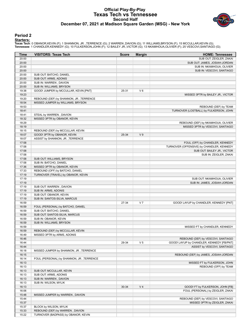# **Official Play-By-Play Texas Tech vs Tennessee Second Half December 07, 2021 at Madison Square Garden (MSG) - New York**



# **Period 2**

<mark>Starters:</mark><br>Texas Tech: 0 OBANOR,KEVIN (F); 1 SHANNON, JR. ,TERRENCE (G); 2 WARREN ,DAVION (G); 11 WILLIAMS,BRYSON (F); 15 MCCULLAR,KEVIN (G);<br>Tennessee: 1 CHANDLER,KENNEDY (G); 10 FULKERSON,JOHN (F); 12 BAILEY JR.,VICTOR

| Time           | <b>VISITORS: Texas Tech</b>                                                  | <b>Score</b> | <b>Margin</b>  | <b>HOME: Tennessee</b>                                                |
|----------------|------------------------------------------------------------------------------|--------------|----------------|-----------------------------------------------------------------------|
| 20:00          |                                                                              |              |                | SUB OUT: ZEIGLER, ZAKAI                                               |
| 20:00          |                                                                              |              |                | SUB OUT: JAMES, JOSIAH-JORDAN                                         |
| 20:00          |                                                                              |              |                | SUB IN: NKAMHOUA, OLIVIER                                             |
| 20:00          |                                                                              |              |                | SUB IN: VESCOVI, SANTIAGO                                             |
| 20:00          | SUB OUT: BATCHO, DANIEL                                                      |              |                |                                                                       |
| 20:00          | SUB OUT: ARMS, ADONIS                                                        |              |                |                                                                       |
| 20:00          | SUB IN: WARREN, DAVION                                                       |              |                |                                                                       |
| 20:00          | SUB IN: WILLIAMS, BRYSON                                                     |              |                |                                                                       |
| 19:38          | GOOD! JUMPER by MCCULLAR, KEVIN [PNT]                                        | 25-31        | $V_6$          |                                                                       |
| 19:23          |                                                                              |              |                | MISSED 3PTR by BAILEY JR., VICTOR                                     |
| 19:20<br>18:54 | REBOUND (DEF) by SHANNON, JR., TERRENCE<br>MISSED JUMPER by WILLIAMS, BRYSON |              |                |                                                                       |
| 18:53          |                                                                              |              |                | REBOUND (DEF) by TEAM                                                 |
| 18:41          |                                                                              |              |                | TURNOVER (LOSTBALL) by FULKERSON, JOHN                                |
| 18:41          | STEAL by WARREN, DAVION                                                      |              |                |                                                                       |
| 18:32          | MISSED 3PTR by OBANOR, KEVIN                                                 |              |                |                                                                       |
| 18:29          |                                                                              |              |                | REBOUND (DEF) by NKAMHOUA, OLIVIER                                    |
| 18:19          |                                                                              |              |                | MISSED 3PTR by VESCOVI, SANTIAGO                                      |
| 18:15          | REBOUND (DEF) by MCCULLAR, KEVIN                                             |              |                |                                                                       |
| 18:07          | GOOD! 3PTR by OBANOR, KEVIN                                                  | 25-34        | V <sub>9</sub> |                                                                       |
| 18:07          | ASSIST by SHANNON, JR., TERRENCE                                             |              |                |                                                                       |
| 17:58          |                                                                              |              |                | FOUL (OFF) by CHANDLER, KENNEDY                                       |
| 17:58          |                                                                              |              |                | TURNOVER (OFFENSIVE) by CHANDLER, KENNEDY                             |
| 17:58          |                                                                              |              |                | SUB OUT: BAILEY JR., VICTOR                                           |
| 17:58          |                                                                              |              |                | SUB IN: ZEIGLER, ZAKAI                                                |
| 17:58          | SUB OUT: WILLIAMS, BRYSON                                                    |              |                |                                                                       |
| 17:58          | SUB IN: BATCHO, DANIEL                                                       |              |                |                                                                       |
| 17:36          | MISSED 3PTR by OBANOR, KEVIN                                                 |              |                |                                                                       |
| 17:33          | REBOUND (OFF) by BATCHO, DANIEL                                              |              |                |                                                                       |
| 17:19          | TURNOVER (TRAVEL) by OBANOR, KEVIN                                           |              |                |                                                                       |
| 17:19          |                                                                              |              |                | SUB OUT: NKAMHOUA, OLIVIER                                            |
| 17:19          |                                                                              |              |                | SUB IN: JAMES, JOSIAH-JORDAN                                          |
| 17:19          | SUB OUT: WARREN, DAVION                                                      |              |                |                                                                       |
| 17:19<br>17:19 | SUB IN: ARMS, ADONIS<br>SUB OUT: OBANOR, KEVIN                               |              |                |                                                                       |
| 17:19          | SUB IN: SANTOS-SILVA, MARCUS                                                 |              |                |                                                                       |
| 16:59          |                                                                              | 27-34        | V <sub>7</sub> | GOOD! LAYUP by CHANDLER, KENNEDY [PNT]                                |
| 16:59          | FOUL (PERSONAL) by BATCHO, DANIEL                                            |              |                |                                                                       |
| 16:59          | SUB OUT: BATCHO, DANIEL                                                      |              |                |                                                                       |
| 16:59          | SUB OUT: SANTOS-SILVA, MARCUS                                                |              |                |                                                                       |
| 16:59          | SUB IN: OBANOR, KEVIN                                                        |              |                |                                                                       |
| 16:59          | SUB IN: WILLIAMS, BRYSON                                                     |              |                |                                                                       |
| 16:59          |                                                                              |              |                | MISSED FT by CHANDLER, KENNEDY                                        |
| 16:59          | REBOUND (DEF) by MCCULLAR, KEVIN                                             |              |                |                                                                       |
| 16:49          | MISSED 3PTR by ARMS, ADONIS                                                  |              |                |                                                                       |
| 16:46          |                                                                              |              |                | REBOUND (DEF) by VESCOVI, SANTIAGO                                    |
| 16:44          |                                                                              | 29-34        | V <sub>5</sub> | GOOD! LAYUP by CHANDLER, KENNEDY [FB/PNT]                             |
| 16:44          |                                                                              |              |                | ASSIST by VESCOVI, SANTIAGO                                           |
| 16:18          | MISSED JUMPER by SHANNON, JR., TERRENCE                                      |              |                |                                                                       |
| 16:15          |                                                                              |              |                | REBOUND (DEF) by JAMES, JOSIAH-JORDAN                                 |
| 16:14          | FOUL (PERSONAL) by SHANNON, JR., TERRENCE                                    |              |                |                                                                       |
| 16:13          |                                                                              |              |                | MISSED FT by FULKERSON, JOHN                                          |
| 16:13          |                                                                              |              |                | REBOUND (OFF) by TEAM                                                 |
| 16:13          | SUB OUT: MCCULLAR, KEVIN                                                     |              |                |                                                                       |
| 16:13          | SUB OUT: ARMS, ADONIS                                                        |              |                |                                                                       |
| 16:13          | SUB IN: WARREN, DAVION                                                       |              |                |                                                                       |
| 16:13<br>16:13 | SUB IN: WILSON, MYLIK                                                        | 30-34        | V <sub>4</sub> |                                                                       |
| 16:06          |                                                                              |              |                | GOOD! FT by FULKERSON, JOHN [FB]<br>FOUL (PERSONAL) by ZEIGLER, ZAKAI |
| 15:48          | MISSED JUMPER by WARREN, DAVION                                              |              |                |                                                                       |
| 15:44          |                                                                              |              |                | REBOUND (DEF) by VESCOVI, SANTIAGO                                    |
| 15:37          |                                                                              |              |                | MISSED 3PTR by ZEIGLER, ZAKAI                                         |
| 15:37          | BLOCK by WILSON, MYLIK                                                       |              |                |                                                                       |
| 15:33          | REBOUND (DEF) by WARREN, DAVION                                              |              |                |                                                                       |
| 15:22          | TURNOVER (BADPASS) by OBANOR, KEVIN                                          |              |                |                                                                       |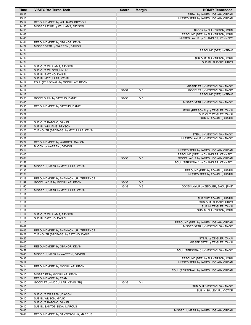| <b>Time</b>    | <b>VISITORS: Texas Tech</b>                                       | <b>Score</b> | <b>Margin</b>  | <b>HOME: Tennessee</b>                                                  |
|----------------|-------------------------------------------------------------------|--------------|----------------|-------------------------------------------------------------------------|
| 15:22          |                                                                   |              |                | STEAL by JAMES, JOSIAH-JORDAN                                           |
| 15:16          |                                                                   |              |                | MISSED 3PTR by JAMES, JOSIAH-JORDAN                                     |
| 15:12          | REBOUND (DEF) by WILLIAMS, BRYSON                                 |              |                |                                                                         |
| 14:53          | MISSED LAYUP by WILLIAMS, BRYSON                                  |              |                |                                                                         |
| 14:53<br>14:48 |                                                                   |              |                | BLOCK by FULKERSON, JOHN<br>REBOUND (DEF) by FULKERSON, JOHN            |
| 14:46          |                                                                   |              |                | MISSED LAYUP by CHANDLER, KENNEDY                                       |
| 14:41          | REBOUND (DEF) by OBANOR, KEVIN                                    |              |                |                                                                         |
| 14:27          | MISSED 3PTR by WARREN, DAVION                                     |              |                |                                                                         |
| 14:24          |                                                                   |              |                | REBOUND (DEF) by TEAM                                                   |
| 14:24          |                                                                   |              |                |                                                                         |
| 14:24<br>14:24 |                                                                   |              |                | SUB OUT: FULKERSON, JOHN<br>SUB IN: PLAVSIC, UROS                       |
| 14:24          | SUB OUT: WILLIAMS, BRYSON                                         |              |                |                                                                         |
| 14:24          | SUB OUT: WILSON, MYLIK                                            |              |                |                                                                         |
| 14:24          | SUB IN: BATCHO, DANIEL                                            |              |                |                                                                         |
| 14:24          | SUB IN: MCCULLAR, KEVIN                                           |              |                |                                                                         |
| 14:12          | FOUL (PERSONAL) by MCCULLAR, KEVIN                                |              |                |                                                                         |
| 14:12          |                                                                   |              |                | MISSED FT by VESCOVI, SANTIAGO                                          |
| 14:12<br>14:12 |                                                                   | 31-34        | V <sub>3</sub> | GOOD! FT by VESCOVI, SANTIAGO                                           |
| 13:53          | GOOD! DUNK by BATCHO, DANIEL                                      | 31-36        | V <sub>5</sub> | REBOUND (OFF) by TEAM                                                   |
| 13:40          |                                                                   |              |                | MISSED 3PTR by VESCOVI, SANTIAGO                                        |
| 13:35          | REBOUND (DEF) by BATCHO, DANIEL                                   |              |                |                                                                         |
| 13:27          |                                                                   |              |                | FOUL (PERSONAL) by ZEIGLER, ZAKAI                                       |
| 13:27          |                                                                   |              |                | SUB OUT: ZEIGLER, ZAKAI                                                 |
| 13:27          |                                                                   |              |                | SUB IN: POWELL, JUSTIN                                                  |
| 13:27          | SUB OUT: BATCHO, DANIEL                                           |              |                |                                                                         |
| 13:27<br>13:26 | SUB IN: WILLIAMS, BRYSON<br>TURNOVER (BADPASS) by MCCULLAR, KEVIN |              |                |                                                                         |
| 13:26          |                                                                   |              |                | STEAL by VESCOVI, SANTIAGO                                              |
| 13:22          |                                                                   |              |                | MISSED LAYUP by VESCOVI, SANTIAGO                                       |
| 13:22          | REBOUND (DEF) by WARREN, DAVION                                   |              |                |                                                                         |
| 13:22          | BLOCK by WARREN, DAVION                                           |              |                |                                                                         |
| 13:14          |                                                                   |              |                | MISSED 3PTR by JAMES, JOSIAH-JORDAN                                     |
| 13:05          |                                                                   |              |                | REBOUND (OFF) by CHANDLER, KENNEDY                                      |
| 13:01<br>12:58 |                                                                   | 33-36        | $V_3$          | GOOD! LAYUP by JAMES, JOSIAH-JORDAN                                     |
| 12:39          | MISSED JUMPER by MCCULLAR, KEVIN                                  |              |                | FOUL (PERSONAL) by CHANDLER, KENNEDY                                    |
| 12:35          |                                                                   |              |                | REBOUND (DEF) by POWELL, JUSTIN                                         |
| 12:21          |                                                                   |              |                | MISSED 3PTR by POWELL, JUSTIN                                           |
| 12:18          | REBOUND (DEF) by SHANNON, JR., TERRENCE                           |              |                |                                                                         |
| 11:57          | GOOD! LAYUP by MCCULLAR, KEVIN                                    | 33-38        | V <sub>5</sub> |                                                                         |
| 11:50          |                                                                   | 35-38        | V <sub>3</sub> | GOOD! LAYUP by ZEIGLER, ZAKAI [PNT]                                     |
| 11:15          | MISSED JUMPER by MCCULLAR, KEVIN                                  |              |                |                                                                         |
| 11:11<br>11:11 |                                                                   |              |                | SUB OUT: POWELL, JUSTIN                                                 |
| 11:11          |                                                                   |              |                | SUB OUT: PLAVSIC, UROS                                                  |
| 11:11          |                                                                   |              |                | SUB IN: ZEIGLER, ZAKAI                                                  |
| 11:11          |                                                                   |              |                | SUB IN: FULKERSON, JOHN                                                 |
| 11:11          | SUB OUT: WILLIAMS, BRYSON                                         |              |                |                                                                         |
| 11:11          | SUB IN: BATCHO, DANIEL                                            |              |                |                                                                         |
| 11:10          |                                                                   |              |                | REBOUND (DEF) by JAMES, JOSIAH-JORDAN                                   |
| 10:47<br>10:43 | REBOUND (DEF) by SHANNON, JR., TERRENCE                           |              |                | MISSED 3PTR by VESCOVI, SANTIAGO                                        |
| 10:22          | TURNOVER (BADPASS) by BATCHO, DANIEL                              |              |                |                                                                         |
| 10:22          |                                                                   |              |                | STEAL by ZEIGLER, ZAKAI                                                 |
| 10:05          |                                                                   |              |                | MISSED 3PTR by ZEIGLER, ZAKAI                                           |
| 10:02          | REBOUND (DEF) by OBANOR, KEVIN                                    |              |                |                                                                         |
| 09:57          |                                                                   |              |                | FOUL (PERSONAL) by VESCOVI, SANTIAGO                                    |
| 09:40          | MISSED JUMPER by WARREN, DAVION                                   |              |                |                                                                         |
| 09:36<br>09:17 |                                                                   |              |                | REBOUND (DEF) by FULKERSON, JOHN<br>MISSED 3PTR by JAMES, JOSIAH-JORDAN |
| 09:14          | REBOUND (DEF) by MCCULLAR, KEVIN                                  |              |                |                                                                         |
| 09:10          |                                                                   |              |                | FOUL (PERSONAL) by JAMES, JOSIAH-JORDAN                                 |
| 09:10          | MISSED FT by MCCULLAR, KEVIN                                      |              |                |                                                                         |
| 09:10          | REBOUND (OFF) by TEAM                                             |              |                |                                                                         |
| 09:10          | GOOD! FT by MCCULLAR, KEVIN [FB]                                  | 35-39        | V <sub>4</sub> |                                                                         |
| 09:10          |                                                                   |              |                | SUB OUT: VESCOVI, SANTIAGO                                              |
| 09:10          |                                                                   |              |                | SUB IN: BAILEY JR., VICTOR                                              |
| 09:10          | SUB OUT: WARREN, DAVION                                           |              |                |                                                                         |
| 09:10<br>09:10 | SUB IN: WILSON, MYLIK<br>SUB OUT: BATCHO, DANIEL                  |              |                |                                                                         |
| 09:10          | SUB IN: SANTOS-SILVA, MARCUS                                      |              |                |                                                                         |
| 08:45          |                                                                   |              |                | MISSED JUMPER by JAMES, JOSIAH-JORDAN                                   |
| 08:41          | REBOUND (DEF) by SANTOS-SILVA, MARCUS                             |              |                |                                                                         |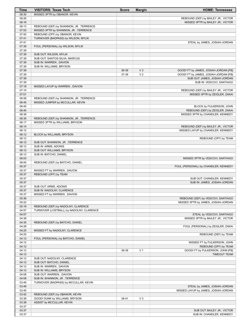| Time           | <b>VISITORS: Texas Tech</b>                                             | <b>Score</b>   | <b>Margin</b>                    | <b>HOME: Tennessee</b>                                                         |
|----------------|-------------------------------------------------------------------------|----------------|----------------------------------|--------------------------------------------------------------------------------|
| 08:30          | MISSED 3PTR by OBANOR, KEVIN                                            |                |                                  |                                                                                |
| 08:26          |                                                                         |                |                                  | REBOUND (DEF) by BAILEY JR., VICTOR                                            |
| 08:16          |                                                                         |                |                                  | MISSED 3PTR by BAILEY JR., VICTOR                                              |
| 08:13          | REBOUND (DEF) by SHANNON, JR., TERRENCE                                 |                |                                  |                                                                                |
| 07:53<br>07:50 | MISSED 3PTR by SHANNON, JR., TERRENCE<br>REBOUND (OFF) by OBANOR, KEVIN |                |                                  |                                                                                |
| 07:41          | TURNOVER (BADPASS) by WILSON, MYLIK                                     |                |                                  |                                                                                |
| 07:41          |                                                                         |                |                                  | STEAL by JAMES, JOSIAH-JORDAN                                                  |
| 07:39          | FOUL (PERSONAL) by WILSON, MYLIK                                        |                |                                  |                                                                                |
| 07:39          |                                                                         |                |                                  |                                                                                |
| 07:39          | SUB OUT: WILSON, MYLIK                                                  |                |                                  |                                                                                |
| 07:39          | SUB OUT: SANTOS-SILVA, MARCUS                                           |                |                                  |                                                                                |
| 07:39          | SUB IN: WARREN, DAVION                                                  |                |                                  |                                                                                |
| 07:39          | SUB IN: WILLIAMS, BRYSON                                                |                |                                  |                                                                                |
| 07:39<br>07:39 |                                                                         | 36-39<br>37-39 | V <sub>3</sub><br>V <sub>2</sub> | GOOD! FT by JAMES, JOSIAH-JORDAN [FB]<br>GOOD! FT by JAMES, JOSIAH-JORDAN [FB] |
| 07:39          |                                                                         |                |                                  | SUB OUT: JAMES, JOSIAH-JORDAN                                                  |
| 07:39          |                                                                         |                |                                  | SUB IN: VESCOVI, SANTIAGO                                                      |
| 07:18          | MISSED LAYUP by WARREN, DAVION                                          |                |                                  |                                                                                |
| 07:15          |                                                                         |                |                                  | REBOUND (DEF) by BAILEY JR., VICTOR                                            |
| 07:01          |                                                                         |                |                                  | MISSED 3PTR by ZEIGLER, ZAKAI                                                  |
| 06:58          | REBOUND (DEF) by SHANNON, JR., TERRENCE                                 |                |                                  |                                                                                |
| 06:45          | MISSED JUMPER by MCCULLAR, KEVIN                                        |                |                                  |                                                                                |
| 06:45<br>06:40 |                                                                         |                |                                  | BLOCK by FULKERSON, JOHN<br>REBOUND (DEF) by ZEIGLER, ZAKAI                    |
| 06:38          |                                                                         |                |                                  | MISSED 3PTR by CHANDLER, KENNEDY                                               |
| 06:35          | REBOUND (DEF) by SHANNON, JR., TERRENCE                                 |                |                                  |                                                                                |
| 06:17          | MISSED 3PTR by WILLIAMS, BRYSON                                         |                |                                  |                                                                                |
| 06:14          |                                                                         |                |                                  | REBOUND (DEF) by BAILEY JR., VICTOR                                            |
| 06:12          |                                                                         |                |                                  | MISSED LAYUP by CHANDLER, KENNEDY                                              |
| 06:12          | BLOCK by WILLIAMS, BRYSON                                               |                |                                  |                                                                                |
| 06:12          |                                                                         |                |                                  | REBOUND (OFF) by TEAM                                                          |
| 06:12<br>06:12 | SUB OUT: SHANNON, JR., TERRENCE                                         |                |                                  |                                                                                |
| 06:12          | SUB IN: ARMS, ADONIS<br>SUB OUT: WILLIAMS, BRYSON                       |                |                                  |                                                                                |
| 06:12          | SUB IN: BATCHO, DANIEL                                                  |                |                                  |                                                                                |
| 06:03          |                                                                         |                |                                  | MISSED 3PTR by VESCOVI, SANTIAGO                                               |
| 06:00          | REBOUND (DEF) by BATCHO, DANIEL                                         |                |                                  |                                                                                |
| 05:37          |                                                                         |                |                                  | FOUL (PERSONAL) by CHANDLER, KENNEDY                                           |
| 05:37          | MISSED FT by WARREN, DAVION                                             |                |                                  |                                                                                |
| 05:37          | REBOUND (OFF) by TEAM                                                   |                |                                  |                                                                                |
| 05:37          |                                                                         |                |                                  | SUB OUT: CHANDLER, KENNEDY                                                     |
| 05:37<br>05:37 | SUB OUT: ARMS, ADONIS                                                   |                |                                  | SUB IN: JAMES, JOSIAH-JORDAN                                                   |
| 05:37          | SUB IN: NADOLNY, CLARENCE                                               |                |                                  |                                                                                |
| 05:37          | MISSED FT by WARREN, DAVION                                             |                |                                  |                                                                                |
| 05:36          |                                                                         |                |                                  | REBOUND (DEF) by VESCOVI, SANTIAGO                                             |
| 05:22          |                                                                         |                |                                  | MISSED 3PTR by JAMES, JOSIAH-JORDAN                                            |
| 05:19          | REBOUND (DEF) by NADOLNY, CLARENCE                                      |                |                                  |                                                                                |
| 04:57          | TURNOVER (LOSTBALL) by NADOLNY, CLARENCE                                |                |                                  |                                                                                |
| 04:57          |                                                                         |                |                                  | STEAL by VESCOVI, SANTIAGO                                                     |
| 04:38<br>04:35 | REBOUND (DEF) by BATCHO, DANIEL                                         |                |                                  | MISSED 3PTR by BAILEY JR., VICTOR                                              |
| 04:26          |                                                                         |                |                                  | FOUL (PERSONAL) by ZEIGLER, ZAKAI                                              |
| 04:25          | MISSED FT by NADOLNY, CLARENCE                                          |                |                                  |                                                                                |
| 04:25          |                                                                         |                |                                  | REBOUND (DEF) by TEAM                                                          |
| 04:12          | FOUL (PERSONAL) by BATCHO, DANIEL                                       |                |                                  |                                                                                |
| 04:12          |                                                                         |                |                                  | MISSED FT by FULKERSON, JOHN                                                   |
| 04:12          |                                                                         |                |                                  | REBOUND (OFF) by TEAM                                                          |
| 04:12          |                                                                         | 38-39          | V <sub>1</sub>                   | GOOD! FT by FULKERSON, JOHN [FB]<br><b>TIMEOUT TEAM</b>                        |
| 04:12<br>04:12 | SUB OUT: NADOLNY, CLARENCE                                              |                |                                  |                                                                                |
| 04:12          | SUB OUT: BATCHO, DANIEL                                                 |                |                                  |                                                                                |
| 04:12          | SUB IN: WARREN, DAVION                                                  |                |                                  |                                                                                |
| 04:12          | SUB IN: WILLIAMS, BRYSON                                                |                |                                  |                                                                                |
| 04:08          | SUB OUT: WARREN, DAVION                                                 |                |                                  |                                                                                |
| 04:08          | SUB IN: SHANNON, JR., TERRENCE                                          |                |                                  |                                                                                |
| 03:49          | TURNOVER (BADPASS) by MCCULLAR, KEVIN                                   |                |                                  |                                                                                |
| 03:49          |                                                                         |                |                                  | STEAL by JAMES, JOSIAH-JORDAN                                                  |
| 03:45<br>03:42 | REBOUND (DEF) by OBANOR, KEVIN                                          |                |                                  | MISSED LAYUP by JAMES, JOSIAH-JORDAN                                           |
| 03:38          | GOOD! DUNK by WILLIAMS, BRYSON                                          | 38-41          | $V_3$                            |                                                                                |
| 03:38          | ASSIST by MCCULLAR, KEVIN                                               |                |                                  |                                                                                |
| 03:37          |                                                                         |                |                                  |                                                                                |
| 03:37          |                                                                         |                |                                  | SUB OUT: BAILEY JR., VICTOR                                                    |
| 03:37          |                                                                         |                |                                  | SUB IN: CHANDLER, KENNEDY                                                      |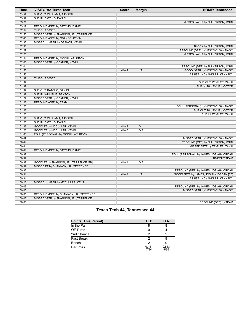| Time  | <b>VISITORS: Texas Tech</b>             | <b>Score</b> | <b>Margin</b>  | <b>HOME: Tennessee</b>                  |
|-------|-----------------------------------------|--------------|----------------|-----------------------------------------|
| 03:37 | SUB OUT: WILLIAMS, BRYSON               |              |                |                                         |
| 03:37 | SUB IN: BATCHO, DANIEL                  |              |                |                                         |
| 03:21 |                                         |              |                | MISSED LAYUP by FULKERSON, JOHN         |
| 03:17 | REBOUND (DEF) by BATCHO, DANIEL         |              |                |                                         |
| 02:54 | TIMEOUT 30SEC                           |              |                |                                         |
| 02:50 | MISSED 3PTR by SHANNON, JR., TERRENCE   |              |                |                                         |
| 02:46 | REBOUND (OFF) by OBANOR, KEVIN          |              |                |                                         |
| 02:33 | MISSED JUMPER by OBANOR, KEVIN          |              |                |                                         |
| 02:33 |                                         |              |                | BLOCK by FULKERSON, JOHN                |
| 02:29 |                                         |              |                | REBOUND (DEF) by VESCOVI, SANTIAGO      |
| 02:26 |                                         |              |                | MISSED LAYUP by FULKERSON, JOHN         |
| 02:21 | REBOUND (DEF) by MCCULLAR, KEVIN        |              |                |                                         |
| 02:08 | MISSED 3PTR by OBANOR, KEVIN            |              |                |                                         |
| 02:04 |                                         |              |                | REBOUND (DEF) by FULKERSON, JOHN        |
| 01:55 |                                         | $41 - 41$    | $\top$         | GOOD! 3PTR by VESCOVI, SANTIAGO         |
| 01:55 |                                         |              |                | ASSIST by CHANDLER, KENNEDY             |
| 01:37 | TIMEOUT 30SEC                           |              |                |                                         |
| 01:37 |                                         |              |                | SUB OUT: ZEIGLER, ZAKAI                 |
| 01:37 |                                         |              |                | SUB IN: BAILEY JR., VICTOR              |
| 01:37 | SUB OUT: BATCHO, DANIEL                 |              |                |                                         |
| 01:37 | SUB IN: WILLIAMS, BRYSON                |              |                |                                         |
| 01:27 | MISSED 3PTR by OBANOR, KEVIN            |              |                |                                         |
| 01:26 | REBOUND (OFF) by TEAM                   |              |                |                                         |
| 01:26 |                                         |              |                | FOUL (PERSONAL) by VESCOVI, SANTIAGO    |
| 01:26 |                                         |              |                | SUB OUT: BAILEY JR., VICTOR             |
| 01:26 |                                         |              |                | SUB IN: ZEIGLER, ZAKAI                  |
| 01:26 | SUB OUT: WILLIAMS, BRYSON               |              |                |                                         |
| 01:26 | SUB IN: BATCHO, DANIEL                  |              |                |                                         |
| 01:26 | GOOD! FT by MCCULLAR, KEVIN             | 41-42        | V <sub>1</sub> |                                         |
| 01:26 | GOOD! FT by MCCULLAR, KEVIN             | $41 - 43$    | V <sub>2</sub> |                                         |
| 01:08 | FOUL (PERSONAL) by MCCULLAR, KEVIN      |              |                |                                         |
| 00:49 |                                         |              |                | MISSED 3PTR by VESCOVI, SANTIAGO        |
| 00:44 |                                         |              |                | REBOUND (OFF) by FULKERSON, JOHN        |
| 00:44 |                                         |              |                | MISSED 3PTR by ZEIGLER, ZAKAI           |
| 00:41 | REBOUND (DEF) by BATCHO, DANIEL         |              |                |                                         |
| 00:37 |                                         |              |                | FOUL (PERSONAL) by JAMES, JOSIAH-JORDAN |
| 00:37 |                                         |              |                | <b>TIMEOUT TEAM</b>                     |
| 00:37 | GOOD! FT by SHANNON, JR., TERRENCE [FB] | 41-44        | V <sub>3</sub> |                                         |
| 00:37 | MISSED FT by SHANNON, JR., TERRENCE     |              |                |                                         |
| 00:36 |                                         |              |                | REBOUND (DEF) by JAMES, JOSIAH-JORDAN   |
| 00:31 |                                         | 44-44        | T              | GOOD! 3PTR by JAMES, JOSIAH-JORDAN [FB] |
| 00:31 |                                         |              |                | ASSIST by CHANDLER, KENNEDY             |
| 00:13 | MISSED JUMPER by MCCULLAR, KEVIN        |              |                |                                         |
| 00:09 |                                         |              |                | REBOUND (DEF) by JAMES, JOSIAH-JORDAN   |
| 00:05 |                                         |              |                | MISSED 3PTR by VESCOVI, SANTIAGO        |
| 00:05 | REBOUND (DEF) by SHANNON, JR., TERRENCE |              |                |                                         |
| 00:03 | MISSED 3PTR by SHANNON, JR., TERRENCE   |              |                |                                         |
| 00:03 |                                         |              |                | REBOUND (DEF) by TEAM                   |
|       |                                         |              |                |                                         |

# **Texas Tech 44, Tennessee 44**

| <b>Points (This Period)</b> | <b>TEC</b>    | <b>TEN</b>    |
|-----------------------------|---------------|---------------|
| In the Paint                |               |               |
| Off Turns                   |               |               |
| 2nd Chance                  |               |               |
| Fast Break                  |               |               |
| Bench                       |               |               |
| Per Poss                    | 0.441<br>7/34 | 0.543<br>9/35 |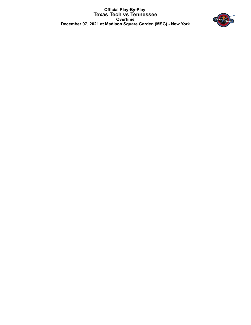**Official Play-By-Play Texas Tech vs Tennessee Overtime December 07, 2021 at Madison Square Garden (MSG) - New York**

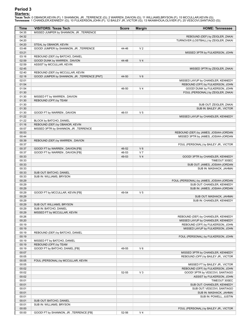# **Period 3**

<mark>Starters:</mark><br>Texas Tech: 0 OBANOR,KEVIN (F); 1 SHANNON, JR. ,TERRENCE (G); 2 WARREN ,DAVION (G); 11 WILLIAMS,BRYSON (F); 15 MCCULLAR,KEVIN (G);<br>Tennessee: 1 CHANDLER,KENNEDY (G); 10 FULKERSON,JOHN (F); 12 BAILEY JR.,VICTOR

| <b>Time</b>    | <b>VISITORS: Texas Tech</b>                            | <b>Score</b> | <b>Margin</b>  | <b>HOME: Tennessee</b>                                |
|----------------|--------------------------------------------------------|--------------|----------------|-------------------------------------------------------|
| 04:35          | MISSED JUMPER by SHANNON, JR., TERRENCE                |              |                |                                                       |
| 04:32          |                                                        |              |                | REBOUND (DEF) by ZEIGLER, ZAKAI                       |
| 04:20          |                                                        |              |                | TURNOVER (LOSTBALL) by ZEIGLER, ZAKAI                 |
| 04:20          | STEAL by OBANOR, KEVIN                                 |              |                |                                                       |
| 03:48          | GOOD! JUMPER by SHANNON, JR., TERRENCE                 | 44-46        | V <sub>2</sub> |                                                       |
| 03:21<br>03:16 | REBOUND (DEF) by BATCHO, DANIEL                        |              |                | MISSED 3PTR by FULKERSON, JOHN                        |
| 02:59          | GOOD! DUNK by WARREN, DAVION                           | 44-48        | V <sub>4</sub> |                                                       |
| 02:59          | ASSIST by MCCULLAR, KEVIN                              |              |                |                                                       |
| 02:45          |                                                        |              |                | MISSED 3PTR by ZEIGLER, ZAKAI                         |
| 02:40          | REBOUND (DEF) by MCCULLAR, KEVIN                       |              |                |                                                       |
| 02:18          | GOOD! JUMPER by SHANNON, JR., TERRENCE [PNT]           | 44-50        | $V_6$          |                                                       |
| 02:01          |                                                        |              |                | MISSED LAYUP by CHANDLER, KENNEDY                     |
| 01:54          |                                                        |              |                | REBOUND (OFF) by FULKERSON, JOHN                      |
| 01:54          |                                                        | 46-50        | V <sub>4</sub> | GOOD! DUNK by FULKERSON, JOHN                         |
| 01:30          |                                                        |              |                | FOUL (PERSONAL) by ZEIGLER, ZAKAI                     |
| 01:30          | MISSED FT by WARREN, DAVION                            |              |                |                                                       |
| 01:30          | REBOUND (OFF) by TEAM                                  |              |                |                                                       |
| 01:30          |                                                        |              |                | SUB OUT: ZEIGLER, ZAKAI<br>SUB IN: BAILEY JR., VICTOR |
| 01:30<br>01:30 | GOOD! FT by WARREN, DAVION                             | 46-51        | V <sub>5</sub> |                                                       |
| 01:22          |                                                        |              |                | MISSED LAYUP by CHANDLER, KENNEDY                     |
| 01:22          | BLOCK by BATCHO, DANIEL                                |              |                |                                                       |
| 01:16          | REBOUND (DEF) by OBANOR, KEVIN                         |              |                |                                                       |
| 00:57          | MISSED 3PTR by SHANNON, JR., TERRENCE                  |              |                |                                                       |
| 00:53          |                                                        |              |                | REBOUND (DEF) by JAMES, JOSIAH-JORDAN                 |
| 00:44          |                                                        |              |                | MISSED 3PTR by JAMES, JOSIAH-JORDAN                   |
| 00:39          | REBOUND (DEF) by WARREN, DAVION                        |              |                |                                                       |
| 00:37          |                                                        |              |                | FOUL (PERSONAL) by BAILEY JR., VICTOR                 |
| 00:37          | GOOD! FT by WARREN, DAVION [FB]                        | 46-52        | $V_6$          |                                                       |
| 00:37          | GOOD! FT by WARREN, DAVION [FB]                        | 46-53        | V <sub>7</sub> |                                                       |
| 00:33          |                                                        | 49-53        | V <sub>4</sub> | GOOD! 3PTR by CHANDLER, KENNEDY                       |
| 00:33<br>00:33 |                                                        |              |                | TIMEOUT 30SEC<br>SUB OUT: JAMES, JOSIAH-JORDAN        |
| 00:33          |                                                        |              |                | SUB IN: MASHACK, JAHMAI                               |
| 00:33          | SUB OUT: BATCHO, DANIEL                                |              |                |                                                       |
| 00:33          | SUB IN: WILLIAMS, BRYSON                               |              |                |                                                       |
| 00:29          |                                                        |              |                | FOUL (PERSONAL) by JAMES, JOSIAH-JORDAN               |
| 00:29          |                                                        |              |                | SUB OUT: CHANDLER, KENNEDY                            |
| 00:29          |                                                        |              |                | SUB IN: JAMES, JOSIAH-JORDAN                          |
| 00:29          | GOOD! FT by MCCULLAR, KEVIN [FB]                       | 49-54        | V <sub>5</sub> |                                                       |
| 00:29          |                                                        |              |                | SUB OUT: MASHACK, JAHMAI                              |
| 00:29          |                                                        |              |                | SUB IN: CHANDLER, KENNEDY                             |
| 00:29          | SUB OUT: WILLIAMS, BRYSON                              |              |                |                                                       |
| 00:29<br>00:29 | SUB IN: BATCHO, DANIEL<br>MISSED FT by MCCULLAR, KEVIN |              |                |                                                       |
| 00:26          |                                                        |              |                | REBOUND (DEF) by CHANDLER, KENNEDY                    |
| 00:20          |                                                        |              |                | MISSED LAYUP by CHANDLER, KENNEDY                     |
| 00:19          |                                                        |              |                | REBOUND (OFF) by FULKERSON, JOHN                      |
| 00:19          |                                                        |              |                | MISSED LAYUP by FULKERSON, JOHN                       |
| 00:19          | REBOUND (DEF) by BATCHO, DANIEL                        |              |                |                                                       |
| 00:19          |                                                        |              |                | FOUL (PERSONAL) by FULKERSON, JOHN                    |
| 00:19          | MISSED FT by BATCHO, DANIEL                            |              |                |                                                       |
| 00:19          | REBOUND (OFF) by TEAM                                  |              |                |                                                       |
| 00:19          | GOOD! FT by BATCHO, DANIEL [FB]                        | 49-55        | $V_6$          |                                                       |
| 00:07          |                                                        |              |                | MISSED 3PTR by CHANDLER, KENNEDY                      |
| 00:05          |                                                        |              |                | REBOUND (OFF) by BAILEY JR., VICTOR                   |
| 00:05<br>00:05 | FOUL (PERSONAL) by MCCULLAR, KEVIN                     |              |                | MISSED FT by BAILEY JR., VICTOR                       |
| 00:02          |                                                        |              |                | REBOUND (OFF) by FULKERSON, JOHN                      |
| 00:02          |                                                        | 52-55        | $V_3$          | GOOD! 3PTR by VESCOVI, SANTIAGO                       |
| 00:02          |                                                        |              |                | ASSIST by FULKERSON, JOHN                             |
| 00:01          |                                                        |              |                | TIMEOUT 30SEC                                         |
| 00:01          |                                                        |              |                | SUB OUT: CHANDLER, KENNEDY                            |
| 00:01          |                                                        |              |                | SUB OUT: VESCOVI, SANTIAGO                            |
| 00:01          |                                                        |              |                | SUB IN: MASHACK, JAHMAI                               |
| 00:01          |                                                        |              |                | SUB IN: POWELL, JUSTIN                                |
| 00:01          | SUB OUT: BATCHO, DANIEL                                |              |                |                                                       |
| 00:01          | SUB IN: WILLIAMS, BRYSON                               |              |                |                                                       |
| 00:00<br>00:00 | GOOD! FT by SHANNON, JR., TERRENCE [FB]                | 52-56        | V <sub>4</sub> | FOUL (PERSONAL) by BAILEY JR., VICTOR                 |
|                |                                                        |              |                |                                                       |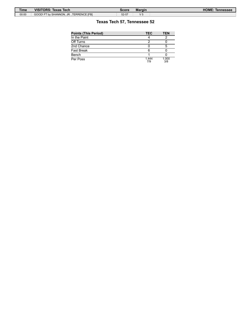| <b>Time</b> | <b>VISITORS: Texas Tech</b>             | Score | <b>Margin</b> | HOME:<br>Tennessee |
|-------------|-----------------------------------------|-------|---------------|--------------------|
| 00:00       | GOOD! FT by SHANNON, JR., TERRENCE [FB] | 52-57 | w             |                    |

# **Texas Tech 57, Tennessee 52**

| <b>Points (This Period)</b> | <b>TEC</b>   | TEN          |
|-----------------------------|--------------|--------------|
| In the Paint                |              |              |
| Off Turns                   | ◠            |              |
| 2nd Chance                  |              |              |
| Fast Break                  |              |              |
| Bench                       |              |              |
| Per Poss                    | 1.444<br>7/9 | 1.000<br>3/8 |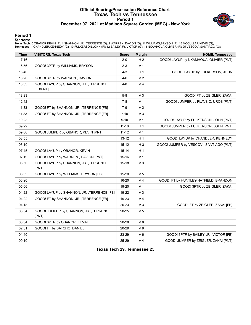### **Official Scoring/Possession Reference Chart Texas Tech vs Tennessee Period 1 December 07, 2021 at Madison Square Garden (MSG) - New York**



### **Period 1**

<mark>Starters:</mark><br>Texas Tech: 0 OBANOR,KEVIN (F); 1 SHANNON, JR. ,TERRENCE (G); 2 WARREN ,DAVION (G); 11 WILLIAMS,BRYSON (F); 15 MCCULLAR,KEVIN (G);<br>Tennessee: 1 CHANDLER,KENNEDY (G); 10 FULKERSON,JOHN (F); 12 BAILEY JR.,VICTOR

| Time  | <b>VISITORS: Texas Tech</b>                       | <b>Score</b> | <b>Margin</b>  | <b>HOME: Tennessee</b>                  |
|-------|---------------------------------------------------|--------------|----------------|-----------------------------------------|
| 17:16 |                                                   | $2 - 0$      | H <sub>2</sub> | GOOD! LAYUP by NKAMHOUA, OLIVIER [PNT]  |
| 16:56 | GOOD! 3PTR by WILLIAMS, BRYSON                    | $2 - 3$      | V <sub>1</sub> |                                         |
| 16:40 |                                                   | $4 - 3$      | H <sub>1</sub> | GOOD! LAYUP by FULKERSON, JOHN          |
| 16:20 | GOOD! 3PTR by WARREN, DAVION                      | $4-6$        | V <sub>2</sub> |                                         |
| 13:33 | GOOD! LAYUP by SHANNON, JR., TERRENCE<br>[FB/PNT] | 4-8          | V <sub>4</sub> |                                         |
| 13:23 |                                                   | $5-8$        | $V_3$          | GOOD! FT by ZEIGLER, ZAKAI              |
| 12:42 |                                                   | $7-8$        | V <sub>1</sub> | GOOD! JUMPER by PLAVSIC, UROS [PNT]     |
| 11:33 | GOOD! FT by SHANNON, JR., TERRENCE [FB]           | $7-9$        | V <sub>2</sub> |                                         |
| 11:33 | GOOD! FT by SHANNON, JR., TERRENCE [FB]           | $7 - 10$     | $V_3$          |                                         |
| 10:23 |                                                   | $9 - 10$     | V <sub>1</sub> | GOOD! LAYUP by FULKERSON, JOHN [PNT]    |
| 09:22 |                                                   | $11 - 10$    | H 1            | GOOD! JUMPER by FULKERSON, JOHN [PNT]   |
| 09:06 | GOOD! JUMPER by OBANOR, KEVIN [PNT]               | $11 - 12$    | V <sub>1</sub> |                                         |
| 08:55 |                                                   | 13-12        | H <sub>1</sub> | GOOD! LAYUP by CHANDLER, KENNEDY        |
| 08:10 |                                                   | $15-12$      | $H_3$          | GOOD! JUMPER by VESCOVI, SANTIAGO [PNT] |
| 07:45 | GOOD! LAYUP by OBANOR, KEVIN                      | $15 - 14$    | H <sub>1</sub> |                                         |
| 07:19 | GOOD! LAYUP by WARREN, DAVION [PNT]               | 15-16        | V <sub>1</sub> |                                         |
| 06:50 | GOOD! LAYUP by SHANNON, JR., TERRENCE<br>[PNT]    | $15 - 18$    | $V_3$          |                                         |
| 06:33 | GOOD! LAYUP by WILLIAMS, BRYSON [FB]              | 15-20        | V <sub>5</sub> |                                         |
| 06:20 |                                                   | 16-20        | V <sub>4</sub> | GOOD! FT by HUNTLEY-HATFIELD, BRANDON   |
| 05:06 |                                                   | 19-20        | V <sub>1</sub> | GOOD! 3PTR by ZEIGLER, ZAKAI            |
| 04:22 | GOOD! LAYUP by SHANNON, JR., TERRENCE [FB]        | 19-22        | $V_3$          |                                         |
| 04:22 | GOOD! FT by SHANNON, JR., TERRENCE [FB]           | 19-23        | V <sub>4</sub> |                                         |
| 04:18 |                                                   | 20-23        | $V_3$          | GOOD! FT by ZEIGLER, ZAKAI [FB]         |
| 03:54 | GOOD! JUMPER by SHANNON, JR., TERRENCE<br>[PNT]   | 20-25        | V <sub>5</sub> |                                         |
| 03:34 | GOOD! 3PTR by OBANOR, KEVIN                       | 20-28        | V8             |                                         |
| 02:31 | GOOD! FT by BATCHO, DANIEL                        | 20-29        | V <sub>9</sub> |                                         |
| 01:40 |                                                   | 23-29        | $V_6$          | GOOD! 3PTR by BAILEY JR., VICTOR [FB]   |
| 00:10 |                                                   | 25-29        | V <sub>4</sub> | GOOD! JUMPER by ZEIGLER, ZAKAI [PNT]    |

**Texas Tech 29, Tennessee 25**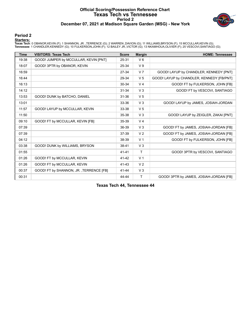### **Official Scoring/Possession Reference Chart Texas Tech vs Tennessee Period 2 December 07, 2021 at Madison Square Garden (MSG) - New York**



#### **Period 2**

<mark>Starters:</mark><br>Texas Tech: 0 OBANOR,KEVIN (F); 1 SHANNON, JR. ,TERRENCE (G); 2 WARREN ,DAVION (G); 11 WILLIAMS,BRYSON (F); 15 MCCULLAR,KEVIN (G);<br>Tennessee: 1 CHANDLER,KENNEDY (G); 10 FULKERSON,JOHN (F); 12 BAILEY JR.,VICTOR

| <b>Time</b> | <b>VISITORS: Texas Tech</b>             | <b>Score</b> | <b>Margin</b>  | <b>HOME: Tennessee</b>                    |
|-------------|-----------------------------------------|--------------|----------------|-------------------------------------------|
| 19:38       | GOOD! JUMPER by MCCULLAR, KEVIN [PNT]   | 25-31        | $V_6$          |                                           |
| 18:07       | GOOD! 3PTR by OBANOR, KEVIN             | 25-34        | V <sub>9</sub> |                                           |
| 16:59       |                                         | 27-34        | V <sub>7</sub> | GOOD! LAYUP by CHANDLER, KENNEDY [PNT]    |
| 16:44       |                                         | 29-34        | V <sub>5</sub> | GOOD! LAYUP by CHANDLER, KENNEDY [FB/PNT] |
| 16:13       |                                         | 30-34        | V <sub>4</sub> | GOOD! FT by FULKERSON, JOHN [FB]          |
| 14:12       |                                         | 31-34        | V <sub>3</sub> | GOOD! FT by VESCOVI, SANTIAGO             |
| 13:53       | GOOD! DUNK by BATCHO, DANIEL            | $31 - 36$    | V <sub>5</sub> |                                           |
| 13:01       |                                         | 33-36        | V <sub>3</sub> | GOOD! LAYUP by JAMES, JOSIAH-JORDAN       |
| 11:57       | GOOD! LAYUP by MCCULLAR, KEVIN          | 33-38        | V <sub>5</sub> |                                           |
| 11:50       |                                         | 35-38        | V <sub>3</sub> | GOOD! LAYUP by ZEIGLER, ZAKAI [PNT]       |
| 09:10       | GOOD! FT by MCCULLAR, KEVIN [FB]        | 35-39        | V <sub>4</sub> |                                           |
| 07:39       |                                         | 36-39        | V <sub>3</sub> | GOOD! FT by JAMES, JOSIAH-JORDAN [FB]     |
| 07:39       |                                         | 37-39        | V <sub>2</sub> | GOOD! FT by JAMES, JOSIAH-JORDAN [FB]     |
| 04:12       |                                         | 38-39        | V <sub>1</sub> | GOOD! FT by FULKERSON, JOHN [FB]          |
| 03:38       | GOOD! DUNK by WILLIAMS, BRYSON          | 38-41        | V <sub>3</sub> |                                           |
| 01:55       |                                         | $41 - 41$    | $\mathsf{T}$   | GOOD! 3PTR by VESCOVI, SANTIAGO           |
| 01:26       | GOOD! FT by MCCULLAR, KEVIN             | 41-42        | V <sub>1</sub> |                                           |
| 01:26       | GOOD! FT by MCCULLAR, KEVIN             | $41 - 43$    | V <sub>2</sub> |                                           |
| 00:37       | GOOD! FT by SHANNON, JR., TERRENCE [FB] | 41-44        | V <sub>3</sub> |                                           |
| 00:31       |                                         | 44-44        | Τ              | GOOD! 3PTR by JAMES, JOSIAH-JORDAN [FB]   |

**Texas Tech 44, Tennessee 44**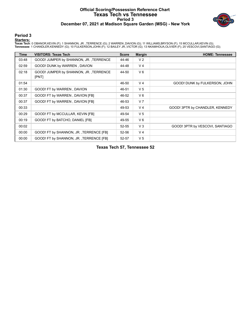### **Official Scoring/Possession Reference Chart Texas Tech vs Tennessee Period 3 December 07, 2021 at Madison Square Garden (MSG) - New York**



### **Period 3**

<mark>Starters:</mark><br>Texas Tech: 0 OBANOR,KEVIN (F); 1 SHANNON, JR. ,TERRENCE (G); 2 WARREN ,DAVION (G); 11 WILLIAMS,BRYSON (F); 15 MCCULLAR,KEVIN (G);<br>Tennessee: 1 CHANDLER,KENNEDY (G); 10 FULKERSON,JOHN (F); 12 BAILEY JR.,VICTOR

| <b>Time</b> | <b>VISITORS: Texas Tech</b>                     | <b>Score</b> | <b>Margin</b>  | <b>HOME: Tennessee</b>          |
|-------------|-------------------------------------------------|--------------|----------------|---------------------------------|
| 03:48       | GOOD! JUMPER by SHANNON, JR., TERRENCE          | 44-46        | V <sub>2</sub> |                                 |
| 02:59       | GOOD! DUNK by WARREN, DAVION                    | 44-48        | V <sub>4</sub> |                                 |
| 02:18       | GOOD! JUMPER by SHANNON, JR., TERRENCE<br>[PNT] | 44-50        | $V_6$          |                                 |
| 01:54       |                                                 | 46-50        | V <sub>4</sub> | GOOD! DUNK by FULKERSON, JOHN   |
| 01:30       | GOOD! FT by WARREN, DAVION                      | 46-51        | V <sub>5</sub> |                                 |
| 00:37       | GOOD! FT by WARREN, DAVION [FB]                 | 46-52        | $V_6$          |                                 |
| 00:37       | GOOD! FT by WARREN, DAVION [FB]                 | 46-53        | V <sub>7</sub> |                                 |
| 00:33       |                                                 | 49-53        | V <sub>4</sub> | GOOD! 3PTR by CHANDLER, KENNEDY |
| 00:29       | GOOD! FT by MCCULLAR, KEVIN [FB]                | 49-54        | V <sub>5</sub> |                                 |
| 00:19       | GOOD! FT by BATCHO, DANIEL [FB]                 | 49-55        | $V_6$          |                                 |
| 00:02       |                                                 | $52 - 55$    | $V_3$          | GOOD! 3PTR by VESCOVI, SANTIAGO |
| 00:00       | GOOD! FT by SHANNON, JR., TERRENCE [FB]         | 52-56        | V <sub>4</sub> |                                 |
| 00:00       | GOOD! FT by SHANNON, JR., TERRENCE [FB]         | 52-57        | V <sub>5</sub> |                                 |

**Texas Tech 57, Tennessee 52**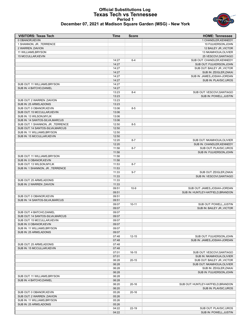### **Official Substitutions Log Texas Tech vs Tennessee Period 1 December 07, 2021 at Madison Square Garden (MSG) - New York**



| <b>VISITORS: Texas Tech</b>                               | <b>Time</b>    | <b>Score</b> | <b>HOME: Tennessee</b>             |
|-----------------------------------------------------------|----------------|--------------|------------------------------------|
| 0 OBANOR, KEVIN                                           |                |              | 1 CHANDLER.KENNEDY                 |
| 1 SHANNON, JR., TERRENCE                                  |                |              | 10 FULKERSON, JOHN                 |
| 2 WARREN, DAVION                                          |                |              | 12 BAILEY JR., VICTOR              |
| 11 WILLIAMS, BRYSON                                       |                |              | 13 NKAMHOUA, OLIVIER               |
| 15 MCCULLAR, KEVIN                                        |                |              | 25 VESCOVI, SANTIAGO               |
|                                                           | 14:27          | $6 - 4$      | SUB OUT: CHANDLER, KENNEDY         |
|                                                           | 14:27          |              | SUB OUT: FULKERSON, JOHN           |
|                                                           | 14:27          |              | SUB OUT: BAILEY JR., VICTOR        |
|                                                           | 14:27          |              | SUB IN: ZEIGLER, ZAKAI             |
|                                                           | 14:27          |              | SUB IN: JAMES, JOSIAH-JORDAN       |
| SUB OUT: 11 WILLIAMS, BRYSON                              | 14:27<br>14:27 |              | SUB IN: PLAVSIC, UROS              |
| SUB IN: 4 BATCHO.DANIEL                                   | 14:27          |              |                                    |
|                                                           | 13:23          | $8 - 4$      | SUB OUT: VESCOVI, SANTIAGO         |
|                                                           | 13:23          |              | SUB IN: POWELL, JUSTIN             |
| SUB OUT: 2 WARREN , DAVION                                | 13:23          |              |                                    |
| SUB IN: 25 ARMS, ADONIS                                   | 13:23          |              |                                    |
| SUB OUT: 0 OBANOR, KEVIN                                  | 13:06          | $8 - 5$      |                                    |
| SUB OUT: 15 MCCULLAR, KEVIN                               | 13:06          |              |                                    |
| SUB IN: 13 WILSON, MYLIK                                  | 13:06          |              |                                    |
| SUB IN: 14 SANTOS-SILVA, MARCUS                           | 13:06          |              |                                    |
| SUB OUT: 1 SHANNON, JR., TERRENCE                         | 12:50          | $8 - 5$      |                                    |
| SUB OUT: 14 SANTOS-SILVA, MARCUS                          | 12:50          |              |                                    |
| SUB IN: 11 WILLIAMS, BRYSON                               | 12:50          |              |                                    |
| SUB IN: 15 MCCULLAR, KEVIN                                | 12:50          |              |                                    |
|                                                           | 12:20          | $8 - 7$      | SUB OUT: NKAMHOUA, OLIVIER         |
|                                                           | 12:20          |              | SUB IN: CHANDLER, KENNEDY          |
|                                                           | 11:58          | $8 - 7$      | SUB OUT: PLAVSIC, UROS             |
|                                                           | 11:58          |              | SUB IN: FULKERSON, JOHN            |
| SUB OUT: 11 WILLIAMS, BRYSON                              | 11:58          |              |                                    |
| SUB IN: 0 OBANOR, KEVIN                                   | 11:58          |              |                                    |
| SUB OUT: 13 WILSON, MYLIK                                 | 11:53          | $8 - 7$      |                                    |
| SUB IN: 1 SHANNON, JR., TERRENCE                          | 11:53          |              |                                    |
|                                                           | 11:33          | $9 - 7$      | SUB OUT: ZEIGLER, ZAKAI            |
|                                                           | 11:33          |              | SUB IN: VESCOVI, SANTIAGO          |
| SUB OUT: 25 ARMS, ADONIS                                  | 11:33          |              |                                    |
| SUB IN: 2 WARREN , DAVION                                 | 11:33          |              |                                    |
|                                                           | 09:51          | $10-9$       | SUB OUT: JAMES, JOSIAH-JORDAN      |
| SUB OUT: 0 OBANOR, KEVIN                                  | 09:51<br>09:51 |              | SUB IN: HUNTLEY-HATFIELD, BRANDON  |
| SUB IN: 14 SANTOS-SILVA, MARCUS                           | 09:51          |              |                                    |
|                                                           | 09:07          | $10 - 11$    | SUB OUT: POWELL, JUSTIN            |
|                                                           | 09:07          |              | SUB IN: BAILEY JR., VICTOR         |
| SUB OUT: 4 BATCHO, DANIEL                                 | 09:07          |              |                                    |
| SUB OUT: 14 SANTOS-SILVA, MARCUS                          | 09:07          |              |                                    |
| SUB OUT: 15 MCCULLAR, KEVIN                               | 09:07          |              |                                    |
| SUB IN: 0 OBANOR, KEVIN                                   | 09:07          |              |                                    |
| SUB IN: 11 WILLIAMS, BRYSON                               | 09:07          |              |                                    |
| SUB IN: 25 ARMS, ADONIS                                   | 09:07          |              |                                    |
|                                                           | 07:48          | $12 - 15$    | SUB OUT: FULKERSON, JOHN           |
|                                                           | 07:48          |              | SUB IN: JAMES, JOSIAH-JORDAN       |
| SUB OUT: 25 ARMS, ADONIS                                  | 07:48          |              |                                    |
| SUB IN: 15 MCCULLAR, KEVIN                                | 07:48          |              |                                    |
|                                                           | 07:01          | $16-15$      | SUB OUT: VESCOVI, SANTIAGO         |
|                                                           | 07:01          |              | SUB IN: NKAMHOUA, OLIVIER          |
|                                                           | 06:28          | $20 - 15$    | SUB OUT: BAILEY JR., VICTOR        |
|                                                           | 06:28          |              | SUB OUT: NKAMHOUA, OLIVIER         |
|                                                           | 06:28          |              | SUB IN: ZEIGLER, ZAKAI             |
|                                                           | 06:28          |              | SUB IN: FULKERSON, JOHN            |
| SUB OUT: 11 WILLIAMS, BRYSON                              | 06:28          |              |                                    |
| SUB IN: 4 BATCHO, DANIEL                                  | 06:28          |              |                                    |
|                                                           | 06:20          | $20 - 16$    | SUB OUT: HUNTLEY-HATFIELD, BRANDON |
|                                                           | 06:20          |              | SUB IN: PLAVSIC, UROS              |
| SUB OUT: 0 OBANOR, KEVIN                                  | 05:26          | $20 - 16$    |                                    |
| SUB OUT: 2 WARREN , DAVION<br>SUB IN: 11 WILLIAMS, BRYSON | 05:26<br>05:26 |              |                                    |
| SUB IN: 25 ARMS, ADONIS                                   | 05:26          |              |                                    |
|                                                           | 04:22          | 22-19        | SUB OUT: PLAVSIC, UROS             |
|                                                           | 04:22          |              | SUB IN: POWELL, JUSTIN             |
|                                                           |                |              |                                    |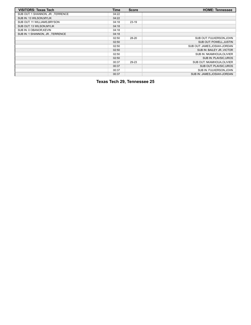| <b>VISITORS: Texas Tech</b>       | <b>Time</b> | <b>Score</b> | <b>HOME: Tennessee</b>        |
|-----------------------------------|-------------|--------------|-------------------------------|
| SUB OUT: 1 SHANNON, JR., TERRENCE | 04:22       |              |                               |
| SUB IN: 13 WILSON, MYLIK          | 04:22       |              |                               |
| SUB OUT: 11 WILLIAMS, BRYSON      | 04:18       | $23-19$      |                               |
| SUB OUT: 13 WILSON, MYLIK         | 04:18       |              |                               |
| SUB IN: 0 OBANOR, KEVIN           | 04:18       |              |                               |
| SUB IN: 1 SHANNON, JR., TERRENCE  | 04:18       |              |                               |
|                                   | 02:50       | 28-20        | SUB OUT: FULKERSON, JOHN      |
|                                   | 02:50       |              | <b>SUB OUT: POWELL.JUSTIN</b> |
|                                   | 02:50       |              | SUB OUT: JAMES, JOSIAH-JORDAN |
|                                   | 02:50       |              | SUB IN: BAILEY JR., VICTOR    |
|                                   | 02:50       |              | SUB IN: NKAMHOUA, OLIVIER     |
|                                   | 02:50       |              | SUB IN: PLAVSIC, UROS         |
|                                   | 00:37       | 29-23        | SUB OUT: NKAMHOUA, OLIVIER    |
|                                   | 00:37       |              | SUB OUT: PLAVSIC.UROS         |
|                                   | 00:37       |              | SUB IN: FULKERSON, JOHN       |
|                                   | 00:37       |              | SUB IN: JAMES.JOSIAH-JORDAN   |

**Texas Tech 29, Tennessee 25**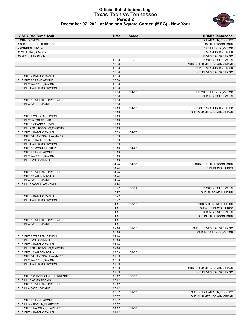### **Official Substitutions Log Texas Tech vs Tennessee Period 2 December 07, 2021 at Madison Square Garden (MSG) - New York**



| <b>VISITORS: Texas Tech</b>                          | <b>Time</b>    | <b>Score</b>             | <b>HOME: Tennessee</b>                                     |
|------------------------------------------------------|----------------|--------------------------|------------------------------------------------------------|
| 0 OBANOR, KEVIN                                      |                |                          | 1 CHANDLER, KENNEDY                                        |
| 1 SHANNON, JR., TERRENCE                             |                |                          | 10 FULKERSON, JOHN                                         |
| 2 WARREN, DAVION                                     |                |                          | 12 BAILEY JR., VICTOR                                      |
| 11 WILLIAMS, BRYSON                                  |                |                          | 13 NKAMHOUA, OLIVIER                                       |
| 15 MCCULLAR, KEVIN                                   |                |                          | 25 VESCOVI, SANTIAGO                                       |
|                                                      | 20:00          | $\overline{\phantom{a}}$ | SUB OUT: ZEIGLER, ZAKAI                                    |
|                                                      | 20:00          |                          | SUB OUT: JAMES, JOSIAH-JORDAN                              |
|                                                      | 20:00          |                          | SUB IN: NKAMHOUA, OLIVIER                                  |
|                                                      | 20:00          |                          | SUB IN: VESCOVI, SANTIAGO                                  |
| SUB OUT: 4 BATCHO, DANIEL                            | 20:00          |                          |                                                            |
| SUB OUT: 25 ARMS, ADONIS                             | 20:00          |                          |                                                            |
| SUB IN: 2 WARREN , DAVION                            | 20:00          |                          |                                                            |
| SUB IN: 11 WILLIAMS, BRYSON                          | 20:00          |                          |                                                            |
|                                                      | 17:58          | 34-25                    | SUB OUT: BAILEY JR., VICTOR                                |
|                                                      | 17:58          |                          | SUB IN: ZEIGLER, ZAKAI                                     |
| SUB OUT: 11 WILLIAMS, BRYSON                         | 17:58          |                          |                                                            |
| SUB IN: 4 BATCHO, DANIEL                             | 17:58          |                          |                                                            |
|                                                      | 17:19<br>17:19 | 34-25                    | SUB OUT: NKAMHOUA, OLIVIER<br>SUB IN: JAMES, JOSIAH-JORDAN |
| SUB OUT: 2 WARREN , DAVION                           | 17:19          |                          |                                                            |
| SUB IN: 25 ARMS, ADONIS                              | 17:19          |                          |                                                            |
| SUB OUT: 0 OBANOR, KEVIN                             | 17:19          |                          |                                                            |
| SUB IN: 14 SANTOS-SILVA, MARCUS                      | 17:19          |                          |                                                            |
| SUB OUT: 4 BATCHO.DANIEL                             | 16:59          | 34-27                    |                                                            |
| SUB OUT: 14 SANTOS-SILVA, MARCUS                     | 16:59          |                          |                                                            |
| SUB IN: 0 OBANOR, KEVIN                              | 16:59          |                          |                                                            |
| SUB IN: 11 WILLIAMS, BRYSON                          | 16:59          |                          |                                                            |
| SUB OUT: 15 MCCULLAR.KEVIN                           | 16:13          | 34-29                    |                                                            |
| SUB OUT: 25 ARMS, ADONIS                             | 16:13          |                          |                                                            |
| SUB IN: 2 WARREN , DAVION                            | 16:13          |                          |                                                            |
| SUB IN: 13 WILSON, MYLIK                             | 16:13          |                          |                                                            |
|                                                      | 14:24          | 34-30                    | SUB OUT: FULKERSON, JOHN                                   |
|                                                      | 14:24          |                          | SUB IN: PLAVSIC, UROS                                      |
| SUB OUT: 11 WILLIAMS, BRYSON                         | 14:24          |                          |                                                            |
| SUB OUT: 13 WILSON, MYLIK                            | 14:24          |                          |                                                            |
| SUB IN: 4 BATCHO, DANIEL                             | 14:24          |                          |                                                            |
| SUB IN: 15 MCCULLAR, KEVIN                           | 14:24          |                          |                                                            |
|                                                      | 13:27          | 36-31                    | SUB OUT: ZEIGLER, ZAKAI                                    |
|                                                      | 13:27          |                          | SUB IN: POWELL, JUSTIN                                     |
| SUB OUT: 4 BATCHO, DANIEL                            | 13:27          |                          |                                                            |
| SUB IN: 11 WILLIAMS, BRYSON                          | 13:27          |                          |                                                            |
|                                                      | 11:11          | 38-35                    | SUB OUT: POWELL, JUSTIN                                    |
|                                                      | 11:11          |                          | SUB OUT: PLAVSIC, UROS                                     |
|                                                      | 11:11          |                          | SUB IN: ZEIGLER, ZAKAI                                     |
|                                                      | 11:11          |                          | SUB IN: FULKERSON.JOHN                                     |
| SUB OUT: 11 WILLIAMS, BRYSON                         | 11:11          |                          |                                                            |
| SUB IN: 4 BATCHO, DANIEL                             | 11:11          |                          |                                                            |
|                                                      | 09:10          | 39-35                    | SUB OUT: VESCOVI, SANTIAGO                                 |
|                                                      | 09:10          |                          | SUB IN: BAILEY JR., VICTOR                                 |
| SUB OUT: 2 WARREN , DAVION                           | 09:10          |                          |                                                            |
| SUB IN: 13 WILSON, MYLIK<br>SUB OUT: 4 BATCHO.DANIEL | 09:10<br>09:10 |                          |                                                            |
| SUB IN: 14 SANTOS-SILVA, MARCUS                      | 09:10          |                          |                                                            |
| SUB OUT: 13 WILSON, MYLIK                            | 07:39          | 39-35                    |                                                            |
| SUB OUT: 14 SANTOS-SILVA, MARCUS                     | 07:39          |                          |                                                            |
| SUB IN: 2 WARREN, DAVION                             | 07:39          |                          |                                                            |
| SUB IN: 11 WILLIAMS, BRYSON                          | 07:39          |                          |                                                            |
|                                                      | 07:39          |                          | SUB OUT: JAMES, JOSIAH-JORDAN                              |
|                                                      | 07:39          |                          | SUB IN: VESCOVI, SANTIAGO                                  |
| SUB OUT: 1 SHANNON, JR., TERRENCE                    | 06:12          | 39-37                    |                                                            |
| SUB IN: 25 ARMS, ADONIS                              | 06:12          |                          |                                                            |
| SUB OUT: 11 WILLIAMS, BRYSON                         | 06:12          |                          |                                                            |
| SUB IN: 4 BATCHO, DANIEL                             | 06:12          |                          |                                                            |
|                                                      | 05:37          | 39-37                    | SUB OUT: CHANDLER, KENNEDY                                 |
|                                                      | 05:37          |                          | SUB IN: JAMES, JOSIAH-JORDAN                               |
| SUB OUT: 25 ARMS, ADONIS                             | 05:37          |                          |                                                            |
| SUB IN: 3 NADOLNY, CLARENCE                          | 05:37          |                          |                                                            |
| SUB OUT: 3 NADOLNY, CLARENCE                         | 04:12          | 39-38                    |                                                            |
| SUB OUT: 4 BATCHO, DANIEL                            | 04:12          |                          |                                                            |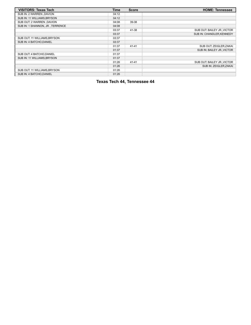| <b>VISITORS: Texas Tech</b>      | <b>Time</b> | <b>Score</b> | <b>HOME: Tennessee</b>      |
|----------------------------------|-------------|--------------|-----------------------------|
| SUB IN: 2 WARREN, DAVION         | 04:12       |              |                             |
| SUB IN: 11 WILLIAMS, BRYSON      | 04:12       |              |                             |
| SUB OUT: 2 WARREN , DAVION       | 04:08       | 39-38        |                             |
| SUB IN: 1 SHANNON, JR., TERRENCE | 04:08       |              |                             |
|                                  | 03:37       | 41-38        | SUB OUT: BAILEY JR., VICTOR |
|                                  | 03:37       |              | SUB IN: CHANDLER, KENNEDY   |
| SUB OUT: 11 WILLIAMS, BRYSON     | 03:37       |              |                             |
| SUB IN: 4 BATCHO, DANIEL         | 03:37       |              |                             |
|                                  | 01:37       | $41 - 41$    | SUB OUT: ZEIGLER, ZAKAI     |
|                                  | 01:37       |              | SUB IN: BAILEY JR., VICTOR  |
| SUB OUT: 4 BATCHO, DANIEL        | 01:37       |              |                             |
| SUB IN: 11 WILLIAMS, BRYSON      | 01:37       |              |                             |
|                                  | 01:26       | $41 - 41$    | SUB OUT: BAILEY JR., VICTOR |
|                                  | 01:26       |              | SUB IN: ZEIGLER.ZAKAI       |
| SUB OUT: 11 WILLIAMS, BRYSON     | 01:26       |              |                             |
| SUB IN: 4 BATCHO.DANIEL          | 01:26       |              |                             |

**Texas Tech 44, Tennessee 44**